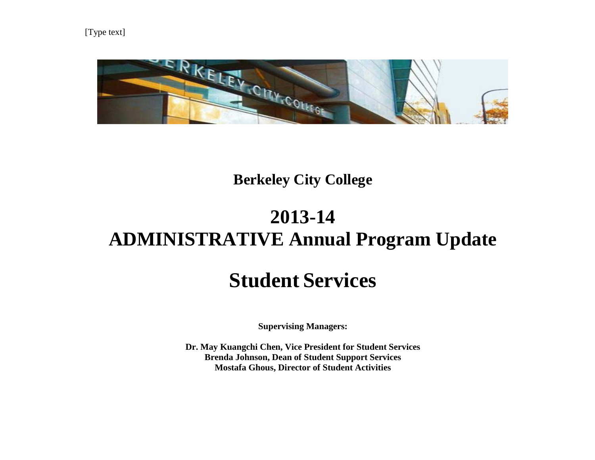

# **Berkeley City College**

# **2013-14 ADMINISTRATIVE Annual Program Update**

# **Student Services**

**Supervising Managers:**

**Dr. May Kuangchi Chen, Vice President for Student Services Brenda Johnson, Dean of Student Support Services Mostafa Ghous, Director of Student Activities**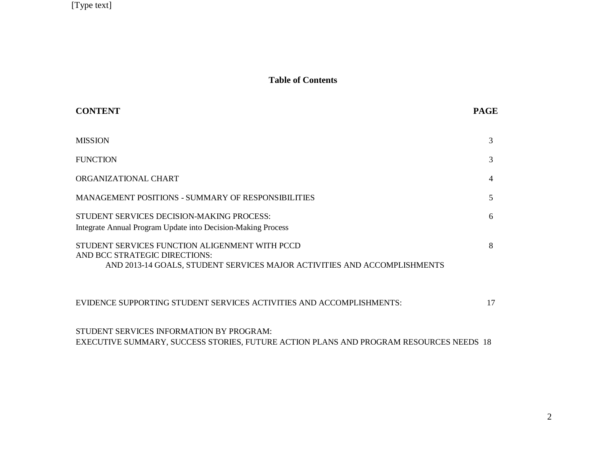### **Table of Contents**

| <b>CONTENT</b>                                                                                                                                              | <b>PAGE</b> |
|-------------------------------------------------------------------------------------------------------------------------------------------------------------|-------------|
| <b>MISSION</b>                                                                                                                                              | 3           |
| <b>FUNCTION</b>                                                                                                                                             | 3           |
| ORGANIZATIONAL CHART                                                                                                                                        | 4           |
| <b>MANAGEMENT POSITIONS - SUMMARY OF RESPONSIBILITIES</b>                                                                                                   | 5           |
| STUDENT SERVICES DECISION-MAKING PROCESS:<br>Integrate Annual Program Update into Decision-Making Process                                                   | 6           |
| STUDENT SERVICES FUNCTION ALIGENMENT WITH PCCD<br>AND BCC STRATEGIC DIRECTIONS:<br>AND 2013-14 GOALS, STUDENT SERVICES MAJOR ACTIVITIES AND ACCOMPLISHMENTS | 8           |
| EVIDENCE SUPPORTING STUDENT SERVICES ACTIVITIES AND ACCOMPLISHMENTS:                                                                                        | 17          |

STUDENT SERVICES INFORMATION BY PROGRAM: EXECUTIVE SUMMARY, SUCCESS STORIES, FUTURE ACTION PLANS AND PROGRAM RESOURCES NEEDS 18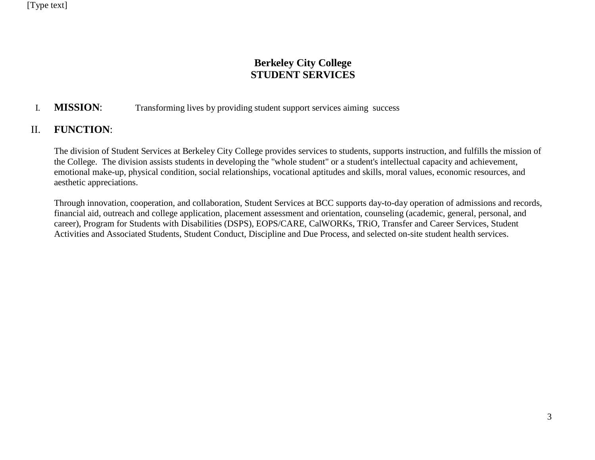# **Berkeley City College STUDENT SERVICES**

# I. **MISSION**: Transforming lives by providing student support services aiming success

# II. **FUNCTION**:

The division of Student Services at Berkeley City College provides services to students, supports instruction, and fulfills the mission of the College. The division assists students in developing the "whole student" or a student's intellectual capacity and achievement, emotional make-up, physical condition, social relationships, vocational aptitudes and skills, moral values, economic resources, and aesthetic appreciations.

Through innovation, cooperation, and collaboration, Student Services at BCC supports day-to-day operation of admissions and records, financial aid, outreach and college application, placement assessment and orientation, counseling (academic, general, personal, and career), Program for Students with Disabilities (DSPS), EOPS/CARE, CalWORKs, TRiO, Transfer and Career Services, Student Activities and Associated Students, Student Conduct, Discipline and Due Process, and selected on-site student health services.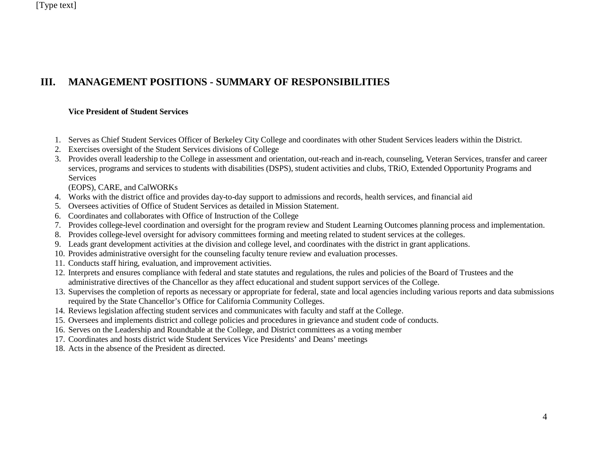# **III. MANAGEMENT POSITIONS - SUMMARY OF RESPONSIBILITIES**

#### **Vice President of Student Services**

- 1. Serves as Chief Student Services Officer of Berkeley City College and coordinates with other Student Services leaders within the District.
- 2. Exercises oversight of the Student Services divisions of College
- 3. Provides overall leadership to the College in assessment and orientation, out-reach and in-reach, counseling, Veteran Services, transfer and career services, programs and services to students with disabilities (DSPS), student activities and clubs, TRiO, Extended Opportunity Programs and Services

(EOPS), CARE, and CalWORKs

- 4. Works with the district office and provides day-to-day support to admissions and records, health services, and financial aid
- 5. Oversees activities of Office of Student Services as detailed in Mission Statement.
- 6. Coordinates and collaborates with Office of Instruction of the College
- 7. Provides college-level coordination and oversight for the program review and Student Learning Outcomes planning process and implementation.
- 8. Provides college-level oversight for advisory committees forming and meeting related to student services at the colleges.
- 9. Leads grant development activities at the division and college level, and coordinates with the district in grant applications.
- 10. Provides administrative oversight for the counseling faculty tenure review and evaluation processes.
- 11. Conducts staff hiring, evaluation, and improvement activities.
- 12. Interprets and ensures compliance with federal and state statutes and regulations, the rules and policies of the Board of Trustees and the administrative directives of the Chancellor as they affect educational and student support services of the College.
- 13. Supervises the completion of reports as necessary or appropriate for federal, state and local agencies including various reports and data submissions required by the State Chancellor's Office for California Community Colleges.
- 14. Reviews legislation affecting student services and communicates with faculty and staff at the College.
- 15. Oversees and implements district and college policies and procedures in grievance and student code of conducts.
- 16. Serves on the Leadership and Roundtable at the College, and District committees as a voting member
- 17. Coordinates and hosts district wide Student Services Vice Presidents' and Deans' meetings
- 18. Acts in the absence of the President as directed.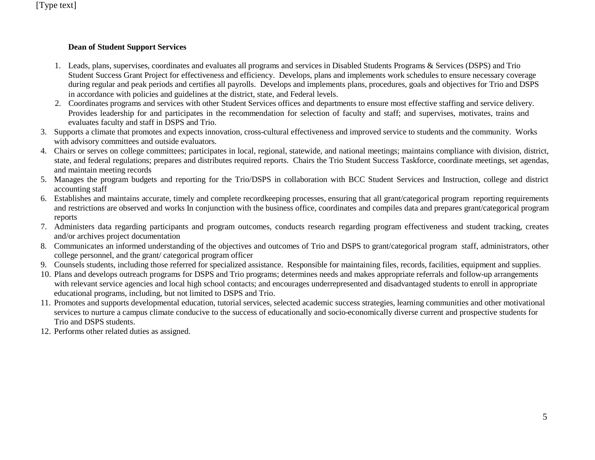#### **Dean of Student Support Services**

- 1. Leads, plans, supervises, coordinates and evaluates all programs and services in [Disabled Students Programs &](http://www.cccco.edu/LinkClick.aspx?link=616&tabid=645) Services (DSPS) and Trio [Student](http://www.cccco.edu/LinkClick.aspx?link=616&tabid=645) [Success Grant](http://www.cccco.edu/LinkClick.aspx?link=616&tabid=645) Project for effectiveness and efficiency. Develops, plans and implements work schedules to ensure necessary coverage during regular and peak periods and certifies all payrolls. Develops and implements plans, procedures, goals and objectives for Trio and DSPS in accordance with policies and guidelines at the district, state, and Federal levels.
- 2. Coordinates programs and services with other Student Services offices and departments to ensure most effective staffing and service delivery. Provides leadership for and participates in the recommendation for selection of faculty and staff; and supervises, motivates, trains and evaluates faculty and staff in DSPS and Trio.
- 3. Supports a climate that promotes and expects innovation, cross-cultural effectiveness and improved service to students and the community. Works with advisory committees and outside evaluators.
- 4. Chairs or serves on college committees; participates in local, regional, statewide, and national meetings; maintains compliance with division, district, state, and federal regulations; prepares and distributes required reports. Chairs the Trio Student Success Taskforce, coordinate meetings, set agendas, and maintain meeting records
- 5. Manages the program budgets and reporting for the Trio/DSPS in collaboration with BCC Student Services and Instruction, college and district accounting staff
- 6. Establishes and maintains accurate, timely and complete recordkeeping processes, ensuring that all grant/categorical program reporting requirements and restrictions are observed and works In conjunction with the business office, coordinates and compiles data and prepares grant/categorical program reports
- 7. Administers data regarding participants and program outcomes, conducts research regarding program effectiveness and student tracking, creates and/or archives project documentation
- 8. Communicates an informed understanding of the objectives and outcomes of Trio and DSPS to grant/categorical program staff, administrators, other college personnel, and the grant/ categorical program officer
- 9. Counsels students, including those referred for specialized assistance. Responsible for maintaining files, records, facilities, equipment and supplies.
- 10. Plans and develops outreach programs for DSPS and Trio programs; determines needs and makes appropriate referrals and follow-up arrangements with relevant service agencies and local high school contacts; and encourages underrepresented and disadvantaged students to enroll in appropriate educational programs, including, but not limited to DSPS and Trio.
- 11. Promotes and supports developmental education, tutorial services, selected academic success strategies, learning communities and other motivational services to nurture a campus climate conducive to the success of educationally and socio-economically diverse current and prospective students for Trio and DSPS students.
- 12. Performs other related duties as assigned.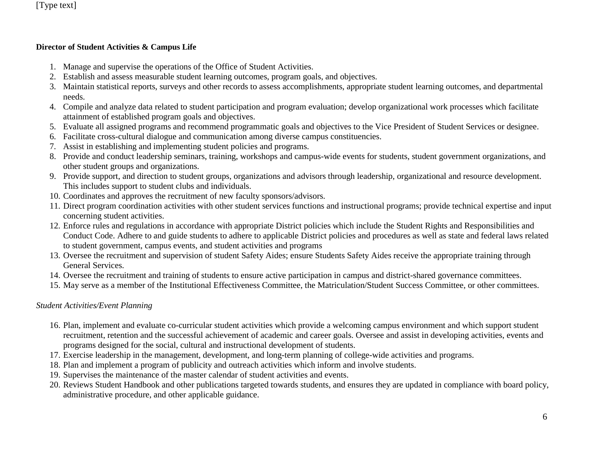### **Director of Student Activities & Campus Life**

- 1. Manage and supervise the operations of the Office of Student Activities.
- 2. Establish and assess measurable student learning outcomes, program goals, and objectives.
- 3. Maintain statistical reports, surveys and other records to assess accomplishments, appropriate student learning outcomes, and departmental needs.
- 4. Compile and analyze data related to student participation and program evaluation; develop organizational work processes which facilitate attainment of established program goals and objectives.
- 5. Evaluate all assigned programs and recommend programmatic goals and objectives to the Vice President of Student Services or designee.
- 6. Facilitate cross-cultural dialogue and communication among diverse campus constituencies.
- 7. Assist in establishing and implementing student policies and programs.
- 8. Provide and conduct leadership seminars, training, workshops and campus-wide events for students, student government organizations, and other student groups and organizations.
- 9. Provide support, and direction to student groups, organizations and advisors through leadership, organizational and resource development. This includes support to student clubs and individuals.
- 10. Coordinates and approves the recruitment of new faculty sponsors/advisors.
- 11. Direct program coordination activities with other student services functions and instructional programs; provide technical expertise and input concerning student activities.
- 12. Enforce rules and regulations in accordance with appropriate District policies which include the Student Rights and Responsibilities and Conduct Code. Adhere to and guide students to adhere to applicable District policies and procedures as well as state and federal laws related to student government, campus events, and student activities and programs
- 13. Oversee the recruitment and supervision of student Safety Aides; ensure Students Safety Aides receive the appropriate training through General Services.
- 14. Oversee the recruitment and training of students to ensure active participation in campus and district-shared governance committees.
- 15. May serve as a member of the Institutional Effectiveness Committee, the Matriculation/Student Success Committee, or other committees.

# *Student Activities/Event Planning*

- 16. Plan, implement and evaluate co-curricular student activities which provide a welcoming campus environment and which support student recruitment, retention and the successful achievement of academic and career goals. Oversee and assist in developing activities, events and programs designed for the social, cultural and instructional development of students.
- 17. Exercise leadership in the management, development, and long-term planning of college-wide activities and programs.
- 18. Plan and implement a program of publicity and outreach activities which inform and involve students.
- 19. Supervises the maintenance of the master calendar of student activities and events.
- 20. Reviews Student Handbook and other publications targeted towards students, and ensures they are updated in compliance with board policy, administrative procedure, and other applicable guidance.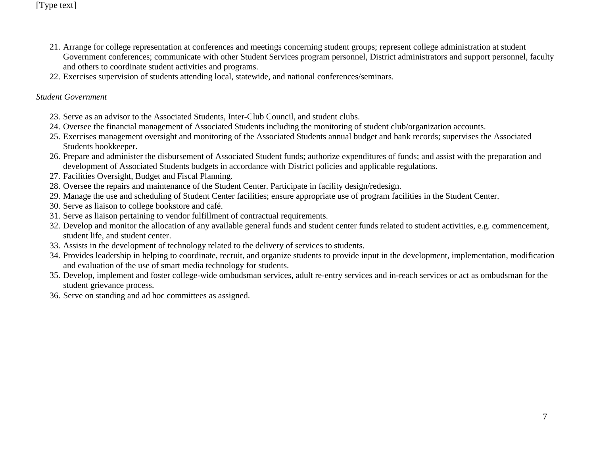- 21. Arrange for college representation at conferences and meetings concerning student groups; represent college administration at student Government conferences; communicate with other Student Services program personnel, District administrators and support personnel, faculty and others to coordinate student activities and programs.
- 22. Exercises supervision of students attending local, statewide, and national conferences/seminars.

#### *Student Government*

- 23. Serve as an advisor to the Associated Students, Inter-Club Council, and student clubs.
- 24. Oversee the financial management of Associated Students including the monitoring of student club/organization accounts.
- 25. Exercises management oversight and monitoring of the Associated Students annual budget and bank records; supervises the Associated Students bookkeeper.
- 26. Prepare and administer the disbursement of Associated Student funds; authorize expenditures of funds; and assist with the preparation and development of Associated Students budgets in accordance with District policies and applicable regulations.
- 27. Facilities Oversight, Budget and Fiscal Planning.
- 28. Oversee the repairs and maintenance of the Student Center. Participate in facility design/redesign.
- 29. Manage the use and scheduling of Student Center facilities; ensure appropriate use of program facilities in the Student Center.
- 30. Serve as liaison to college bookstore and café.
- 31. Serve as liaison pertaining to vendor fulfillment of contractual requirements.
- 32. Develop and monitor the allocation of any available general funds and student center funds related to student activities, e.g. commencement, student life, and student center.
- 33. Assists in the development of technology related to the delivery of services to students.
- 34. Provides leadership in helping to coordinate, recruit, and organize students to provide input in the development, implementation, modification and evaluation of the use of smart media technology for students.
- 35. Develop, implement and foster college-wide ombudsman services, adult re-entry services and in-reach services or act as ombudsman for the student grievance process.
- 36. Serve on standing and ad hoc committees as assigned.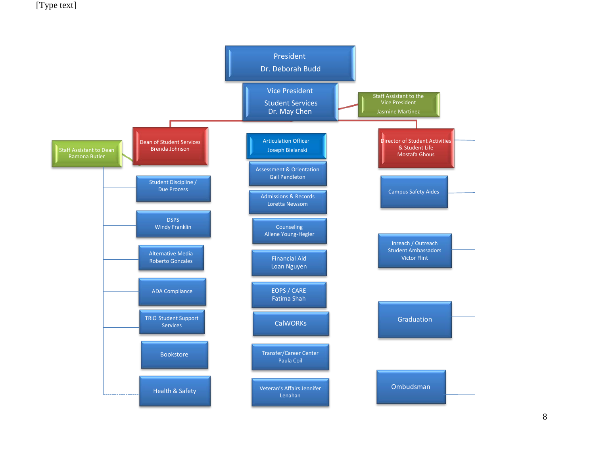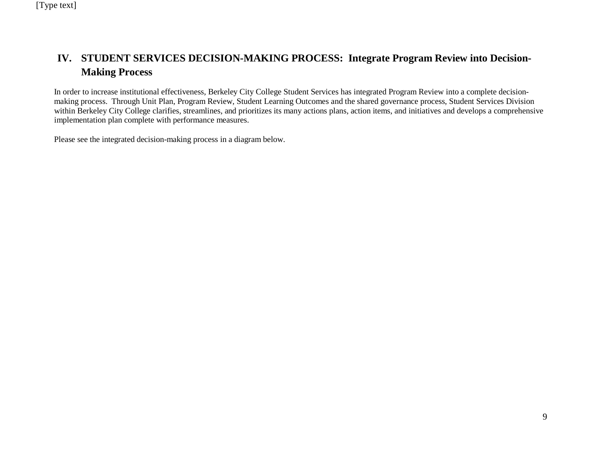# **IV. STUDENT SERVICES DECISION-MAKING PROCESS: Integrate Program Review into Decision-Making Process**

In order to increase institutional effectiveness, Berkeley City College Student Services has integrated Program Review into a complete decisionmaking process. Through Unit Plan, Program Review, Student Learning Outcomes and the shared governance process, Student Services Division within Berkeley City College clarifies, streamlines, and prioritizes its many actions plans, action items, and initiatives and develops a comprehensive implementation plan complete with performance measures.

Please see the integrated decision-making process in a diagram below.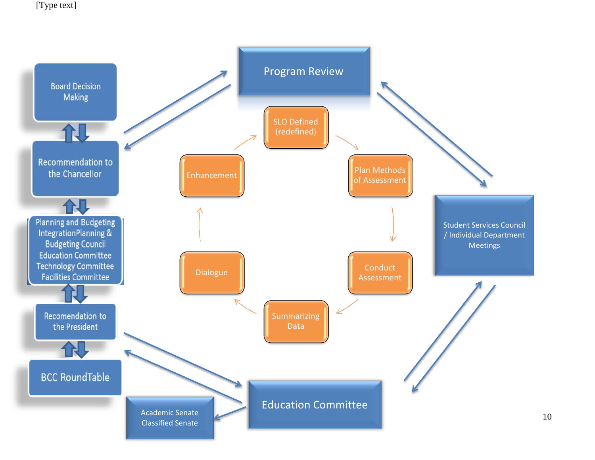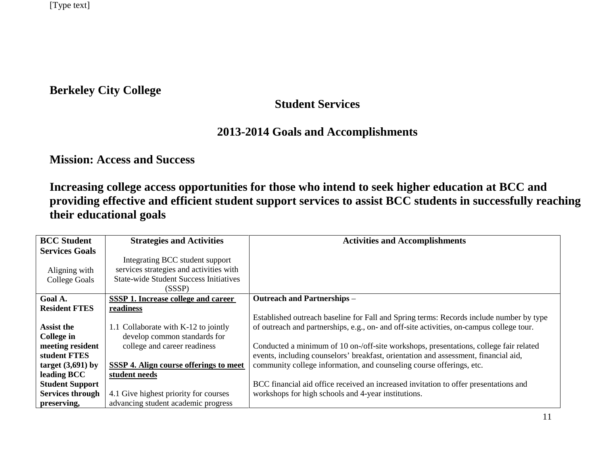**Berkeley City College**

# **Student Services**

# **2013-2014 Goals and Accomplishments**

**Mission: Access and Success**

**Increasing college access opportunities for those who intend to seek higher education at BCC and providing effective and efficient student support services to assist BCC students in successfully reaching their educational goals**

| <b>BCC Student</b>      | <b>Strategies and Activities</b>              | <b>Activities and Accomplishments</b>                                                    |
|-------------------------|-----------------------------------------------|------------------------------------------------------------------------------------------|
| <b>Services Goals</b>   |                                               |                                                                                          |
|                         | Integrating BCC student support               |                                                                                          |
| Aligning with           | services strategies and activities with       |                                                                                          |
| <b>College Goals</b>    | <b>State-wide Student Success Initiatives</b> |                                                                                          |
|                         | (SSSP)                                        |                                                                                          |
| Goal A.                 | SSSP 1. Increase college and career           | <b>Outreach and Partnerships -</b>                                                       |
| <b>Resident FTES</b>    | readiness                                     |                                                                                          |
|                         |                                               | Established outreach baseline for Fall and Spring terms: Records include number by type  |
| <b>Assist the</b>       | 1.1 Collaborate with K-12 to jointly          | of outreach and partnerships, e.g., on- and off-site activities, on-campus college tour. |
| College in              | develop common standards for                  |                                                                                          |
| meeting resident        | college and career readiness                  | Conducted a minimum of 10 on-/off-site workshops, presentations, college fair related    |
| student FTES            |                                               | events, including counselors' breakfast, orientation and assessment, financial aid,      |
| target $(3,691)$ by     | SSSP 4. Align course offerings to meet        | community college information, and counseling course offerings, etc.                     |
| leading BCC             | student needs                                 |                                                                                          |
| <b>Student Support</b>  |                                               | BCC financial aid office received an increased invitation to offer presentations and     |
| <b>Services through</b> | 4.1 Give highest priority for courses         | workshops for high schools and 4-year institutions.                                      |
| preserving,             | advancing student academic progress           |                                                                                          |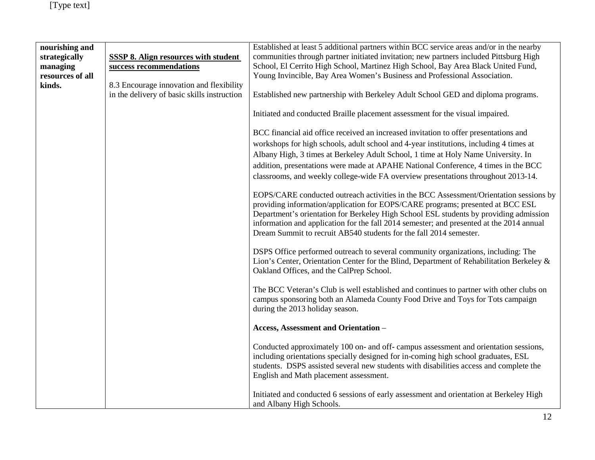| nourishing and<br>strategically<br>managing<br>resources of all<br>kinds. | <b>SSSP 8. Align resources with student</b><br>success recommendations<br>8.3 Encourage innovation and flexibility | Established at least 5 additional partners within BCC service areas and/or in the nearby<br>communities through partner initiated invitation; new partners included Pittsburg High<br>School, El Cerrito High School, Martinez High School, Bay Area Black United Fund,<br>Young Invincible, Bay Area Women's Business and Professional Association.                                                                                           |
|---------------------------------------------------------------------------|--------------------------------------------------------------------------------------------------------------------|------------------------------------------------------------------------------------------------------------------------------------------------------------------------------------------------------------------------------------------------------------------------------------------------------------------------------------------------------------------------------------------------------------------------------------------------|
|                                                                           | in the delivery of basic skills instruction                                                                        | Established new partnership with Berkeley Adult School GED and diploma programs.                                                                                                                                                                                                                                                                                                                                                               |
|                                                                           |                                                                                                                    | Initiated and conducted Braille placement assessment for the visual impaired.                                                                                                                                                                                                                                                                                                                                                                  |
|                                                                           |                                                                                                                    | BCC financial aid office received an increased invitation to offer presentations and<br>workshops for high schools, adult school and 4-year institutions, including 4 times at<br>Albany High, 3 times at Berkeley Adult School, 1 time at Holy Name University. In<br>addition, presentations were made at APAHE National Conference, 4 times in the BCC<br>classrooms, and weekly college-wide FA overview presentations throughout 2013-14. |
|                                                                           |                                                                                                                    | EOPS/CARE conducted outreach activities in the BCC Assessment/Orientation sessions by<br>providing information/application for EOPS/CARE programs; presented at BCC ESL<br>Department's orientation for Berkeley High School ESL students by providing admission<br>information and application for the fall 2014 semester; and presented at the 2014 annual<br>Dream Summit to recruit AB540 students for the fall 2014 semester.             |
|                                                                           |                                                                                                                    | DSPS Office performed outreach to several community organizations, including: The<br>Lion's Center, Orientation Center for the Blind, Department of Rehabilitation Berkeley &<br>Oakland Offices, and the CalPrep School.                                                                                                                                                                                                                      |
|                                                                           |                                                                                                                    | The BCC Veteran's Club is well established and continues to partner with other clubs on<br>campus sponsoring both an Alameda County Food Drive and Toys for Tots campaign<br>during the 2013 holiday season.                                                                                                                                                                                                                                   |
|                                                                           |                                                                                                                    | Access, Assessment and Orientation -                                                                                                                                                                                                                                                                                                                                                                                                           |
|                                                                           |                                                                                                                    | Conducted approximately 100 on- and off-campus assessment and orientation sessions,<br>including orientations specially designed for in-coming high school graduates, ESL<br>students. DSPS assisted several new students with disabilities access and complete the<br>English and Math placement assessment.                                                                                                                                  |
|                                                                           |                                                                                                                    | Initiated and conducted 6 sessions of early assessment and orientation at Berkeley High<br>and Albany High Schools.                                                                                                                                                                                                                                                                                                                            |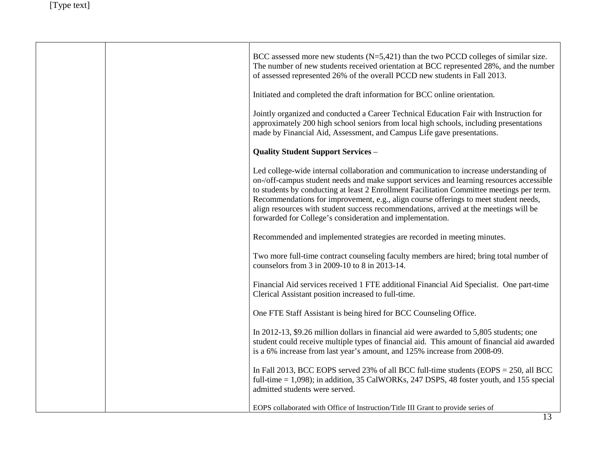|  | BCC assessed more new students $(N=5,421)$ than the two PCCD colleges of similar size.<br>The number of new students received orientation at BCC represented 28%, and the number<br>of assessed represented 26% of the overall PCCD new students in Fall 2013.                                                                                                                                                                                                                                                                |
|--|-------------------------------------------------------------------------------------------------------------------------------------------------------------------------------------------------------------------------------------------------------------------------------------------------------------------------------------------------------------------------------------------------------------------------------------------------------------------------------------------------------------------------------|
|  | Initiated and completed the draft information for BCC online orientation.                                                                                                                                                                                                                                                                                                                                                                                                                                                     |
|  | Jointly organized and conducted a Career Technical Education Fair with Instruction for<br>approximately 200 high school seniors from local high schools, including presentations<br>made by Financial Aid, Assessment, and Campus Life gave presentations.                                                                                                                                                                                                                                                                    |
|  | <b>Quality Student Support Services -</b>                                                                                                                                                                                                                                                                                                                                                                                                                                                                                     |
|  | Led college-wide internal collaboration and communication to increase understanding of<br>on-/off-campus student needs and make support services and learning resources accessible<br>to students by conducting at least 2 Enrollment Facilitation Committee meetings per term.<br>Recommendations for improvement, e.g., align course offerings to meet student needs,<br>align resources with student success recommendations, arrived at the meetings will be<br>forwarded for College's consideration and implementation. |
|  | Recommended and implemented strategies are recorded in meeting minutes.                                                                                                                                                                                                                                                                                                                                                                                                                                                       |
|  | Two more full-time contract counseling faculty members are hired; bring total number of<br>counselors from 3 in 2009-10 to 8 in 2013-14.                                                                                                                                                                                                                                                                                                                                                                                      |
|  | Financial Aid services received 1 FTE additional Financial Aid Specialist. One part-time<br>Clerical Assistant position increased to full-time.                                                                                                                                                                                                                                                                                                                                                                               |
|  | One FTE Staff Assistant is being hired for BCC Counseling Office.                                                                                                                                                                                                                                                                                                                                                                                                                                                             |
|  | In 2012-13, \$9.26 million dollars in financial aid were awarded to 5,805 students; one<br>student could receive multiple types of financial aid. This amount of financial aid awarded<br>is a 6% increase from last year's amount, and 125% increase from 2008-09.                                                                                                                                                                                                                                                           |
|  | In Fall 2013, BCC EOPS served 23% of all BCC full-time students (EOPS = $250$ , all BCC<br>full-time $= 1,098$ ; in addition, 35 CalWORKs, 247 DSPS, 48 foster youth, and 155 special<br>admitted students were served.                                                                                                                                                                                                                                                                                                       |
|  | EOPS collaborated with Office of Instruction/Title III Grant to provide series of                                                                                                                                                                                                                                                                                                                                                                                                                                             |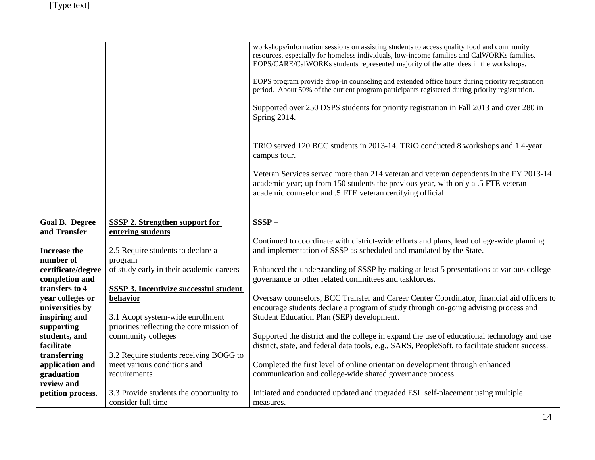|                          |                                                                       | workshops/information sessions on assisting students to access quality food and community                                                                                                     |
|--------------------------|-----------------------------------------------------------------------|-----------------------------------------------------------------------------------------------------------------------------------------------------------------------------------------------|
|                          |                                                                       | resources, especially for homeless individuals, low-income families and CalWORKs families.                                                                                                    |
|                          |                                                                       | EOPS/CARE/CalWORKs students represented majority of the attendees in the workshops.                                                                                                           |
|                          |                                                                       |                                                                                                                                                                                               |
|                          |                                                                       | EOPS program provide drop-in counseling and extended office hours during priority registration                                                                                                |
|                          |                                                                       | period. About 50% of the current program participants registered during priority registration.                                                                                                |
|                          |                                                                       | Supported over 250 DSPS students for priority registration in Fall 2013 and over 280 in                                                                                                       |
|                          |                                                                       | Spring 2014.                                                                                                                                                                                  |
|                          |                                                                       |                                                                                                                                                                                               |
|                          |                                                                       |                                                                                                                                                                                               |
|                          |                                                                       | TRiO served 120 BCC students in 2013-14. TRiO conducted 8 workshops and 14-year                                                                                                               |
|                          |                                                                       | campus tour.                                                                                                                                                                                  |
|                          |                                                                       |                                                                                                                                                                                               |
|                          |                                                                       | Veteran Services served more than 214 veteran and veteran dependents in the FY 2013-14                                                                                                        |
|                          |                                                                       | academic year; up from 150 students the previous year, with only a .5 FTE veteran                                                                                                             |
|                          |                                                                       | academic counselor and .5 FTE veteran certifying official.                                                                                                                                    |
|                          |                                                                       |                                                                                                                                                                                               |
|                          |                                                                       |                                                                                                                                                                                               |
| <b>Goal B. Degree</b>    | <b>SSSP 2. Strengthen support for</b>                                 | $SSSP -$                                                                                                                                                                                      |
| and Transfer             | entering students                                                     |                                                                                                                                                                                               |
|                          |                                                                       | Continued to coordinate with district-wide efforts and plans, lead college-wide planning                                                                                                      |
| Increase the             | 2.5 Require students to declare a                                     | and implementation of SSSP as scheduled and mandated by the State.                                                                                                                            |
| number of                | program                                                               |                                                                                                                                                                                               |
| certificate/degree       | of study early in their academic careers                              | Enhanced the understanding of SSSP by making at least 5 presentations at various college                                                                                                      |
| completion and           |                                                                       | governance or other related committees and taskforces.                                                                                                                                        |
| transfers to 4-          | <b>SSSP 3. Incentivize successful student</b>                         |                                                                                                                                                                                               |
| year colleges or         | behavior                                                              | Oversaw counselors, BCC Transfer and Career Center Coordinator, financial aid officers to                                                                                                     |
| universities by          |                                                                       | encourage students declare a program of study through on-going advising process and                                                                                                           |
| inspiring and            | 3.1 Adopt system-wide enrollment                                      | Student Education Plan (SEP) development.                                                                                                                                                     |
| supporting               | priorities reflecting the core mission of                             |                                                                                                                                                                                               |
| students, and            | community colleges                                                    | Supported the district and the college in expand the use of educational technology and use<br>district, state, and federal data tools, e.g., SARS, PeopleSoft, to facilitate student success. |
| facilitate               |                                                                       |                                                                                                                                                                                               |
| transferring             | 3.2 Require students receiving BOGG to<br>meet various conditions and |                                                                                                                                                                                               |
| application and          |                                                                       | Completed the first level of online orientation development through enhanced<br>communication and college-wide shared governance process.                                                     |
| graduation<br>review and | requirements                                                          |                                                                                                                                                                                               |
|                          | 3.3 Provide students the opportunity to                               | Initiated and conducted updated and upgraded ESL self-placement using multiple                                                                                                                |
| petition process.        | consider full time                                                    |                                                                                                                                                                                               |
|                          |                                                                       | measures.                                                                                                                                                                                     |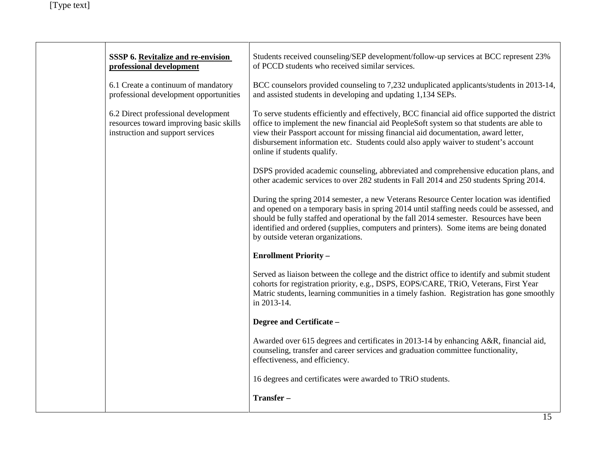| <b>SSSP 6. Revitalize and re-envision</b><br>professional development                                              | Students received counseling/SEP development/follow-up services at BCC represent 23%<br>of PCCD students who received similar services.                                                                                                                                                                                                                                                                         |
|--------------------------------------------------------------------------------------------------------------------|-----------------------------------------------------------------------------------------------------------------------------------------------------------------------------------------------------------------------------------------------------------------------------------------------------------------------------------------------------------------------------------------------------------------|
| 6.1 Create a continuum of mandatory<br>professional development opportunities                                      | BCC counselors provided counseling to 7,232 unduplicated applicants/students in 2013-14,<br>and assisted students in developing and updating 1,134 SEPs.                                                                                                                                                                                                                                                        |
| 6.2 Direct professional development<br>resources toward improving basic skills<br>instruction and support services | To serve students efficiently and effectively, BCC financial aid office supported the district<br>office to implement the new financial aid PeopleSoft system so that students are able to<br>view their Passport account for missing financial aid documentation, award letter,<br>disbursement information etc. Students could also apply waiver to student's account<br>online if students qualify.          |
|                                                                                                                    | DSPS provided academic counseling, abbreviated and comprehensive education plans, and<br>other academic services to over 282 students in Fall 2014 and 250 students Spring 2014.                                                                                                                                                                                                                                |
|                                                                                                                    | During the spring 2014 semester, a new Veterans Resource Center location was identified<br>and opened on a temporary basis in spring 2014 until staffing needs could be assessed, and<br>should be fully staffed and operational by the fall 2014 semester. Resources have been<br>identified and ordered (supplies, computers and printers). Some items are being donated<br>by outside veteran organizations. |
|                                                                                                                    | <b>Enrollment Priority -</b>                                                                                                                                                                                                                                                                                                                                                                                    |
|                                                                                                                    | Served as liaison between the college and the district office to identify and submit student<br>cohorts for registration priority, e.g., DSPS, EOPS/CARE, TRiO, Veterans, First Year<br>Matric students, learning communities in a timely fashion. Registration has gone smoothly<br>in 2013-14.                                                                                                                |
|                                                                                                                    | Degree and Certificate -                                                                                                                                                                                                                                                                                                                                                                                        |
|                                                                                                                    | Awarded over 615 degrees and certificates in 2013-14 by enhancing A&R, financial aid,<br>counseling, transfer and career services and graduation committee functionality,<br>effectiveness, and efficiency.                                                                                                                                                                                                     |
|                                                                                                                    | 16 degrees and certificates were awarded to TRiO students.                                                                                                                                                                                                                                                                                                                                                      |
|                                                                                                                    | Transfer-                                                                                                                                                                                                                                                                                                                                                                                                       |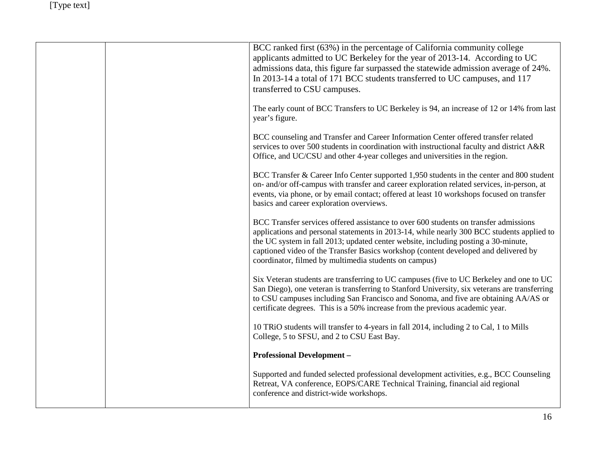|  | BCC ranked first (63%) in the percentage of California community college<br>applicants admitted to UC Berkeley for the year of 2013-14. According to UC<br>admissions data, this figure far surpassed the statewide admission average of 24%.<br>In 2013-14 a total of 171 BCC students transferred to UC campuses, and 117<br>transferred to CSU campuses.                                                             |
|--|-------------------------------------------------------------------------------------------------------------------------------------------------------------------------------------------------------------------------------------------------------------------------------------------------------------------------------------------------------------------------------------------------------------------------|
|  | The early count of BCC Transfers to UC Berkeley is 94, an increase of 12 or 14% from last<br>year's figure.                                                                                                                                                                                                                                                                                                             |
|  | BCC counseling and Transfer and Career Information Center offered transfer related<br>services to over 500 students in coordination with instructional faculty and district A&R<br>Office, and UC/CSU and other 4-year colleges and universities in the region.                                                                                                                                                         |
|  | BCC Transfer & Career Info Center supported 1,950 students in the center and 800 student<br>on- and/or off-campus with transfer and career exploration related services, in-person, at<br>events, via phone, or by email contact; offered at least 10 workshops focused on transfer<br>basics and career exploration overviews.                                                                                         |
|  | BCC Transfer services offered assistance to over 600 students on transfer admissions<br>applications and personal statements in 2013-14, while nearly 300 BCC students applied to<br>the UC system in fall 2013; updated center website, including posting a 30-minute,<br>captioned video of the Transfer Basics workshop (content developed and delivered by<br>coordinator, filmed by multimedia students on campus) |
|  | Six Veteran students are transferring to UC campuses (five to UC Berkeley and one to UC<br>San Diego), one veteran is transferring to Stanford University, six veterans are transferring<br>to CSU campuses including San Francisco and Sonoma, and five are obtaining AA/AS or<br>certificate degrees. This is a 50% increase from the previous academic year.                                                         |
|  | 10 TRiO students will transfer to 4-years in fall 2014, including 2 to Cal, 1 to Mills<br>College, 5 to SFSU, and 2 to CSU East Bay.                                                                                                                                                                                                                                                                                    |
|  | <b>Professional Development -</b>                                                                                                                                                                                                                                                                                                                                                                                       |
|  | Supported and funded selected professional development activities, e.g., BCC Counseling<br>Retreat, VA conference, EOPS/CARE Technical Training, financial aid regional<br>conference and district-wide workshops.                                                                                                                                                                                                      |
|  |                                                                                                                                                                                                                                                                                                                                                                                                                         |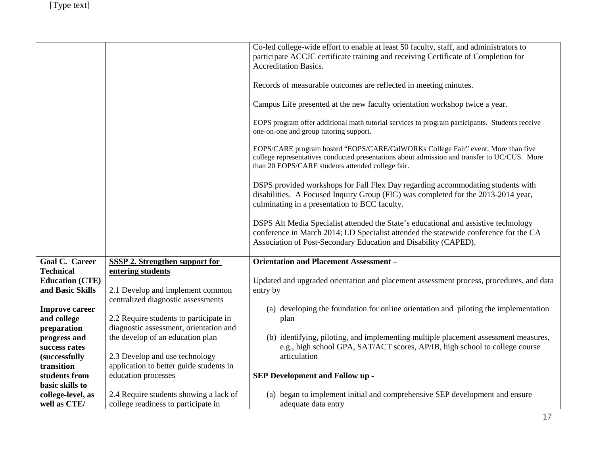|                        |                                         | Co-led college-wide effort to enable at least 50 faculty, staff, and administrators to                                                                                                                                                         |
|------------------------|-----------------------------------------|------------------------------------------------------------------------------------------------------------------------------------------------------------------------------------------------------------------------------------------------|
|                        |                                         | participate ACCJC certificate training and receiving Certificate of Completion for                                                                                                                                                             |
|                        |                                         | <b>Accreditation Basics.</b>                                                                                                                                                                                                                   |
|                        |                                         | Records of measurable outcomes are reflected in meeting minutes.                                                                                                                                                                               |
|                        |                                         |                                                                                                                                                                                                                                                |
|                        |                                         | Campus Life presented at the new faculty orientation workshop twice a year.                                                                                                                                                                    |
|                        |                                         | EOPS program offer additional math tutorial services to program participants. Students receive<br>one-on-one and group tutoring support.                                                                                                       |
|                        |                                         | EOPS/CARE program hosted "EOPS/CARE/CalWORKs College Fair" event. More than five<br>college representatives conducted presentations about admission and transfer to UC/CUS. More<br>than 20 EOPS/CARE students attended college fair.          |
|                        |                                         | DSPS provided workshops for Fall Flex Day regarding accommodating students with<br>disabilities. A Focused Inquiry Group (FIG) was completed for the 2013-2014 year,<br>culminating in a presentation to BCC faculty.                          |
|                        |                                         | DSPS Alt Media Specialist attended the State's educational and assistive technology<br>conference in March 2014; LD Specialist attended the statewide conference for the CA<br>Association of Post-Secondary Education and Disability (CAPED). |
| <b>Goal C. Career</b>  | <b>SSSP 2. Strengthen support for</b>   | <b>Orientation and Placement Assessment -</b>                                                                                                                                                                                                  |
| <b>Technical</b>       | entering students                       |                                                                                                                                                                                                                                                |
| <b>Education (CTE)</b> |                                         | Updated and upgraded orientation and placement assessment process, procedures, and data                                                                                                                                                        |
| and Basic Skills       | 2.1 Develop and implement common        | entry by                                                                                                                                                                                                                                       |
|                        | centralized diagnostic assessments      |                                                                                                                                                                                                                                                |
| <b>Improve career</b>  |                                         | (a) developing the foundation for online orientation and piloting the implementation                                                                                                                                                           |
| and college            | 2.2 Require students to participate in  | plan                                                                                                                                                                                                                                           |
| preparation            | diagnostic assessment, orientation and  |                                                                                                                                                                                                                                                |
| progress and           | the develop of an education plan        | (b) identifying, piloting, and implementing multiple placement assessment measures,                                                                                                                                                            |
| success rates          |                                         | e.g., high school GPA, SAT/ACT scores, AP/IB, high school to college course                                                                                                                                                                    |
| <i>(successfully)</i>  | 2.3 Develop and use technology          | articulation                                                                                                                                                                                                                                   |
| transition             | application to better guide students in |                                                                                                                                                                                                                                                |
| students from          | education processes                     | SEP Development and Follow up -                                                                                                                                                                                                                |
| basic skills to        |                                         |                                                                                                                                                                                                                                                |
| college-level, as      | 2.4 Require students showing a lack of  | (a) began to implement initial and comprehensive SEP development and ensure                                                                                                                                                                    |
| well as CTE/           | college readiness to participate in     | adequate data entry                                                                                                                                                                                                                            |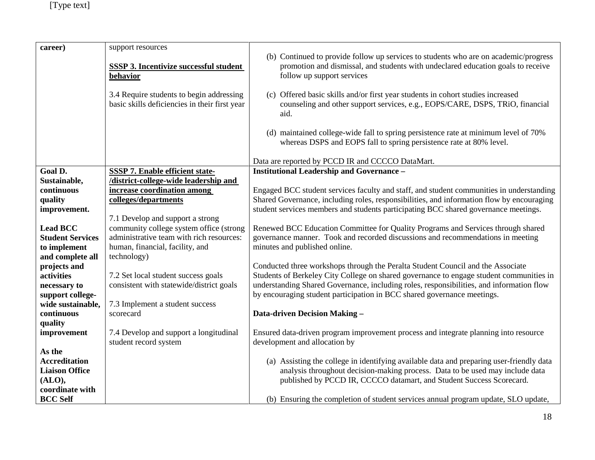| (b) Continued to provide follow up services to students who are on academic/progress<br>SSSP 3. Incentivize successful student<br>promotion and dismissal, and students with undeclared education goals to receive<br>follow up support services<br>behavior<br>3.4 Require students to begin addressing<br>(c) Offered basic skills and/or first year students in cohort studies increased<br>basic skills deficiencies in their first year<br>counseling and other support services, e.g., EOPS/CARE, DSPS, TRiO, financial<br>aid.<br>(d) maintained college-wide fall to spring persistence rate at minimum level of 70%<br>whereas DSPS and EOPS fall to spring persistence rate at 80% level.<br>Data are reported by PCCD IR and CCCCO DataMart.<br><b>Institutional Leadership and Governance -</b><br>Goal D.<br><b>SSSP 7. Enable efficient state-</b><br>/district-college-wide leadership and<br>Sustainable,<br>increase coordination among<br>Engaged BCC student services faculty and staff, and student communities in understanding<br>continuous<br>Shared Governance, including roles, responsibilities, and information flow by encouraging<br>colleges/departments<br>quality<br>student services members and students participating BCC shared governance meetings.<br>improvement.<br>7.1 Develop and support a strong<br>community college system office (strong<br><b>Lead BCC</b><br>Renewed BCC Education Committee for Quality Programs and Services through shared<br>administrative team with rich resources:<br>governance manner. Took and recorded discussions and recommendations in meeting<br><b>Student Services</b><br>human, financial, facility, and<br>minutes and published online.<br>to implement<br>and complete all<br>technology)<br>Conducted three workshops through the Peralta Student Council and the Associate<br>projects and<br>Students of Berkeley City College on shared governance to engage student communities in<br>activities<br>7.2 Set local student success goals |
|-------------------------------------------------------------------------------------------------------------------------------------------------------------------------------------------------------------------------------------------------------------------------------------------------------------------------------------------------------------------------------------------------------------------------------------------------------------------------------------------------------------------------------------------------------------------------------------------------------------------------------------------------------------------------------------------------------------------------------------------------------------------------------------------------------------------------------------------------------------------------------------------------------------------------------------------------------------------------------------------------------------------------------------------------------------------------------------------------------------------------------------------------------------------------------------------------------------------------------------------------------------------------------------------------------------------------------------------------------------------------------------------------------------------------------------------------------------------------------------------------------------------------------------------------------------------------------------------------------------------------------------------------------------------------------------------------------------------------------------------------------------------------------------------------------------------------------------------------------------------------------------------------------------------------------------------------------------------------------------------------------------------------------------|
|                                                                                                                                                                                                                                                                                                                                                                                                                                                                                                                                                                                                                                                                                                                                                                                                                                                                                                                                                                                                                                                                                                                                                                                                                                                                                                                                                                                                                                                                                                                                                                                                                                                                                                                                                                                                                                                                                                                                                                                                                                     |
|                                                                                                                                                                                                                                                                                                                                                                                                                                                                                                                                                                                                                                                                                                                                                                                                                                                                                                                                                                                                                                                                                                                                                                                                                                                                                                                                                                                                                                                                                                                                                                                                                                                                                                                                                                                                                                                                                                                                                                                                                                     |
|                                                                                                                                                                                                                                                                                                                                                                                                                                                                                                                                                                                                                                                                                                                                                                                                                                                                                                                                                                                                                                                                                                                                                                                                                                                                                                                                                                                                                                                                                                                                                                                                                                                                                                                                                                                                                                                                                                                                                                                                                                     |
|                                                                                                                                                                                                                                                                                                                                                                                                                                                                                                                                                                                                                                                                                                                                                                                                                                                                                                                                                                                                                                                                                                                                                                                                                                                                                                                                                                                                                                                                                                                                                                                                                                                                                                                                                                                                                                                                                                                                                                                                                                     |
|                                                                                                                                                                                                                                                                                                                                                                                                                                                                                                                                                                                                                                                                                                                                                                                                                                                                                                                                                                                                                                                                                                                                                                                                                                                                                                                                                                                                                                                                                                                                                                                                                                                                                                                                                                                                                                                                                                                                                                                                                                     |
|                                                                                                                                                                                                                                                                                                                                                                                                                                                                                                                                                                                                                                                                                                                                                                                                                                                                                                                                                                                                                                                                                                                                                                                                                                                                                                                                                                                                                                                                                                                                                                                                                                                                                                                                                                                                                                                                                                                                                                                                                                     |
|                                                                                                                                                                                                                                                                                                                                                                                                                                                                                                                                                                                                                                                                                                                                                                                                                                                                                                                                                                                                                                                                                                                                                                                                                                                                                                                                                                                                                                                                                                                                                                                                                                                                                                                                                                                                                                                                                                                                                                                                                                     |
|                                                                                                                                                                                                                                                                                                                                                                                                                                                                                                                                                                                                                                                                                                                                                                                                                                                                                                                                                                                                                                                                                                                                                                                                                                                                                                                                                                                                                                                                                                                                                                                                                                                                                                                                                                                                                                                                                                                                                                                                                                     |
|                                                                                                                                                                                                                                                                                                                                                                                                                                                                                                                                                                                                                                                                                                                                                                                                                                                                                                                                                                                                                                                                                                                                                                                                                                                                                                                                                                                                                                                                                                                                                                                                                                                                                                                                                                                                                                                                                                                                                                                                                                     |
|                                                                                                                                                                                                                                                                                                                                                                                                                                                                                                                                                                                                                                                                                                                                                                                                                                                                                                                                                                                                                                                                                                                                                                                                                                                                                                                                                                                                                                                                                                                                                                                                                                                                                                                                                                                                                                                                                                                                                                                                                                     |
|                                                                                                                                                                                                                                                                                                                                                                                                                                                                                                                                                                                                                                                                                                                                                                                                                                                                                                                                                                                                                                                                                                                                                                                                                                                                                                                                                                                                                                                                                                                                                                                                                                                                                                                                                                                                                                                                                                                                                                                                                                     |
|                                                                                                                                                                                                                                                                                                                                                                                                                                                                                                                                                                                                                                                                                                                                                                                                                                                                                                                                                                                                                                                                                                                                                                                                                                                                                                                                                                                                                                                                                                                                                                                                                                                                                                                                                                                                                                                                                                                                                                                                                                     |
|                                                                                                                                                                                                                                                                                                                                                                                                                                                                                                                                                                                                                                                                                                                                                                                                                                                                                                                                                                                                                                                                                                                                                                                                                                                                                                                                                                                                                                                                                                                                                                                                                                                                                                                                                                                                                                                                                                                                                                                                                                     |
|                                                                                                                                                                                                                                                                                                                                                                                                                                                                                                                                                                                                                                                                                                                                                                                                                                                                                                                                                                                                                                                                                                                                                                                                                                                                                                                                                                                                                                                                                                                                                                                                                                                                                                                                                                                                                                                                                                                                                                                                                                     |
|                                                                                                                                                                                                                                                                                                                                                                                                                                                                                                                                                                                                                                                                                                                                                                                                                                                                                                                                                                                                                                                                                                                                                                                                                                                                                                                                                                                                                                                                                                                                                                                                                                                                                                                                                                                                                                                                                                                                                                                                                                     |
|                                                                                                                                                                                                                                                                                                                                                                                                                                                                                                                                                                                                                                                                                                                                                                                                                                                                                                                                                                                                                                                                                                                                                                                                                                                                                                                                                                                                                                                                                                                                                                                                                                                                                                                                                                                                                                                                                                                                                                                                                                     |
| consistent with statewide/district goals<br>understanding Shared Governance, including roles, responsibilities, and information flow<br>necessary to                                                                                                                                                                                                                                                                                                                                                                                                                                                                                                                                                                                                                                                                                                                                                                                                                                                                                                                                                                                                                                                                                                                                                                                                                                                                                                                                                                                                                                                                                                                                                                                                                                                                                                                                                                                                                                                                                |
| by encouraging student participation in BCC shared governance meetings.<br>support college-                                                                                                                                                                                                                                                                                                                                                                                                                                                                                                                                                                                                                                                                                                                                                                                                                                                                                                                                                                                                                                                                                                                                                                                                                                                                                                                                                                                                                                                                                                                                                                                                                                                                                                                                                                                                                                                                                                                                         |
| 7.3 Implement a student success<br>wide sustainable,                                                                                                                                                                                                                                                                                                                                                                                                                                                                                                                                                                                                                                                                                                                                                                                                                                                                                                                                                                                                                                                                                                                                                                                                                                                                                                                                                                                                                                                                                                                                                                                                                                                                                                                                                                                                                                                                                                                                                                                |
| continuous<br>Data-driven Decision Making -<br>scorecard                                                                                                                                                                                                                                                                                                                                                                                                                                                                                                                                                                                                                                                                                                                                                                                                                                                                                                                                                                                                                                                                                                                                                                                                                                                                                                                                                                                                                                                                                                                                                                                                                                                                                                                                                                                                                                                                                                                                                                            |
| quality                                                                                                                                                                                                                                                                                                                                                                                                                                                                                                                                                                                                                                                                                                                                                                                                                                                                                                                                                                                                                                                                                                                                                                                                                                                                                                                                                                                                                                                                                                                                                                                                                                                                                                                                                                                                                                                                                                                                                                                                                             |
| 7.4 Develop and support a longitudinal<br>Ensured data-driven program improvement process and integrate planning into resource<br>improvement                                                                                                                                                                                                                                                                                                                                                                                                                                                                                                                                                                                                                                                                                                                                                                                                                                                                                                                                                                                                                                                                                                                                                                                                                                                                                                                                                                                                                                                                                                                                                                                                                                                                                                                                                                                                                                                                                       |
| student record system<br>development and allocation by                                                                                                                                                                                                                                                                                                                                                                                                                                                                                                                                                                                                                                                                                                                                                                                                                                                                                                                                                                                                                                                                                                                                                                                                                                                                                                                                                                                                                                                                                                                                                                                                                                                                                                                                                                                                                                                                                                                                                                              |
| As the<br>(a) Assisting the college in identifying available data and preparing user-friendly data<br><b>Accreditation</b>                                                                                                                                                                                                                                                                                                                                                                                                                                                                                                                                                                                                                                                                                                                                                                                                                                                                                                                                                                                                                                                                                                                                                                                                                                                                                                                                                                                                                                                                                                                                                                                                                                                                                                                                                                                                                                                                                                          |
| analysis throughout decision-making process. Data to be used may include data<br><b>Liaison Office</b>                                                                                                                                                                                                                                                                                                                                                                                                                                                                                                                                                                                                                                                                                                                                                                                                                                                                                                                                                                                                                                                                                                                                                                                                                                                                                                                                                                                                                                                                                                                                                                                                                                                                                                                                                                                                                                                                                                                              |
| published by PCCD IR, CCCCO datamart, and Student Success Scorecard.<br>(ALO),                                                                                                                                                                                                                                                                                                                                                                                                                                                                                                                                                                                                                                                                                                                                                                                                                                                                                                                                                                                                                                                                                                                                                                                                                                                                                                                                                                                                                                                                                                                                                                                                                                                                                                                                                                                                                                                                                                                                                      |
| coordinate with                                                                                                                                                                                                                                                                                                                                                                                                                                                                                                                                                                                                                                                                                                                                                                                                                                                                                                                                                                                                                                                                                                                                                                                                                                                                                                                                                                                                                                                                                                                                                                                                                                                                                                                                                                                                                                                                                                                                                                                                                     |
| <b>BCC Self</b><br>(b) Ensuring the completion of student services annual program update, SLO update,                                                                                                                                                                                                                                                                                                                                                                                                                                                                                                                                                                                                                                                                                                                                                                                                                                                                                                                                                                                                                                                                                                                                                                                                                                                                                                                                                                                                                                                                                                                                                                                                                                                                                                                                                                                                                                                                                                                               |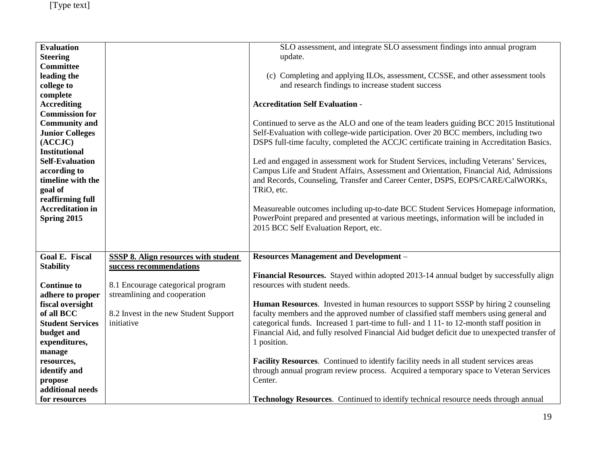| <b>Evaluation</b><br><b>Steering</b><br><b>Committee</b><br>leading the<br>college to<br>complete<br><b>Accrediting</b><br><b>Commission for</b><br><b>Community and</b><br><b>Junior Colleges</b><br>(ACCJC)<br><b>Institutional</b><br><b>Self-Evaluation</b><br>according to<br>timeline with the<br>goal of<br>reaffirming full<br><b>Accreditation in</b><br>Spring 2015 |                                                                   | SLO assessment, and integrate SLO assessment findings into annual program<br>update.<br>(c) Completing and applying ILOs, assessment, CCSSE, and other assessment tools<br>and research findings to increase student success<br><b>Accreditation Self Evaluation -</b><br>Continued to serve as the ALO and one of the team leaders guiding BCC 2015 Institutional<br>Self-Evaluation with college-wide participation. Over 20 BCC members, including two<br>DSPS full-time faculty, completed the ACCJC certificate training in Accreditation Basics.<br>Led and engaged in assessment work for Student Services, including Veterans' Services,<br>Campus Life and Student Affairs, Assessment and Orientation, Financial Aid, Admissions<br>and Records, Counseling, Transfer and Career Center, DSPS, EOPS/CARE/CalWORKs,<br>TRiO, etc.<br>Measureable outcomes including up-to-date BCC Student Services Homepage information,<br>PowerPoint prepared and presented at various meetings, information will be included in<br>2015 BCC Self Evaluation Report, etc. |
|-------------------------------------------------------------------------------------------------------------------------------------------------------------------------------------------------------------------------------------------------------------------------------------------------------------------------------------------------------------------------------|-------------------------------------------------------------------|-----------------------------------------------------------------------------------------------------------------------------------------------------------------------------------------------------------------------------------------------------------------------------------------------------------------------------------------------------------------------------------------------------------------------------------------------------------------------------------------------------------------------------------------------------------------------------------------------------------------------------------------------------------------------------------------------------------------------------------------------------------------------------------------------------------------------------------------------------------------------------------------------------------------------------------------------------------------------------------------------------------------------------------------------------------------------|
| <b>Goal E. Fiscal</b>                                                                                                                                                                                                                                                                                                                                                         | <b>SSSP 8. Align resources with student</b>                       | <b>Resources Management and Development -</b>                                                                                                                                                                                                                                                                                                                                                                                                                                                                                                                                                                                                                                                                                                                                                                                                                                                                                                                                                                                                                         |
| <b>Stability</b>                                                                                                                                                                                                                                                                                                                                                              | success recommendations                                           | Financial Resources. Stayed within adopted 2013-14 annual budget by successfully align                                                                                                                                                                                                                                                                                                                                                                                                                                                                                                                                                                                                                                                                                                                                                                                                                                                                                                                                                                                |
| <b>Continue to</b><br>adhere to proper                                                                                                                                                                                                                                                                                                                                        | 8.1 Encourage categorical program<br>streamlining and cooperation | resources with student needs.                                                                                                                                                                                                                                                                                                                                                                                                                                                                                                                                                                                                                                                                                                                                                                                                                                                                                                                                                                                                                                         |
| fiscal oversight                                                                                                                                                                                                                                                                                                                                                              |                                                                   | <b>Human Resources.</b> Invested in human resources to support SSSP by hiring 2 counseling                                                                                                                                                                                                                                                                                                                                                                                                                                                                                                                                                                                                                                                                                                                                                                                                                                                                                                                                                                            |
| of all BCC                                                                                                                                                                                                                                                                                                                                                                    | 8.2 Invest in the new Student Support                             | faculty members and the approved number of classified staff members using general and                                                                                                                                                                                                                                                                                                                                                                                                                                                                                                                                                                                                                                                                                                                                                                                                                                                                                                                                                                                 |
| <b>Student Services</b><br>budget and                                                                                                                                                                                                                                                                                                                                         | initiative                                                        | categorical funds. Increased 1 part-time to full- and 1 11- to 12-month staff position in<br>Financial Aid, and fully resolved Financial Aid budget deficit due to unexpected transfer of                                                                                                                                                                                                                                                                                                                                                                                                                                                                                                                                                                                                                                                                                                                                                                                                                                                                             |
| expenditures,                                                                                                                                                                                                                                                                                                                                                                 |                                                                   | 1 position.                                                                                                                                                                                                                                                                                                                                                                                                                                                                                                                                                                                                                                                                                                                                                                                                                                                                                                                                                                                                                                                           |
| manage                                                                                                                                                                                                                                                                                                                                                                        |                                                                   | Facility Resources. Continued to identify facility needs in all student services areas                                                                                                                                                                                                                                                                                                                                                                                                                                                                                                                                                                                                                                                                                                                                                                                                                                                                                                                                                                                |
| resources,<br>identify and                                                                                                                                                                                                                                                                                                                                                    |                                                                   | through annual program review process. Acquired a temporary space to Veteran Services                                                                                                                                                                                                                                                                                                                                                                                                                                                                                                                                                                                                                                                                                                                                                                                                                                                                                                                                                                                 |
| propose                                                                                                                                                                                                                                                                                                                                                                       |                                                                   | Center.                                                                                                                                                                                                                                                                                                                                                                                                                                                                                                                                                                                                                                                                                                                                                                                                                                                                                                                                                                                                                                                               |
| additional needs                                                                                                                                                                                                                                                                                                                                                              |                                                                   |                                                                                                                                                                                                                                                                                                                                                                                                                                                                                                                                                                                                                                                                                                                                                                                                                                                                                                                                                                                                                                                                       |
| for resources                                                                                                                                                                                                                                                                                                                                                                 |                                                                   | Technology Resources. Continued to identify technical resource needs through annual                                                                                                                                                                                                                                                                                                                                                                                                                                                                                                                                                                                                                                                                                                                                                                                                                                                                                                                                                                                   |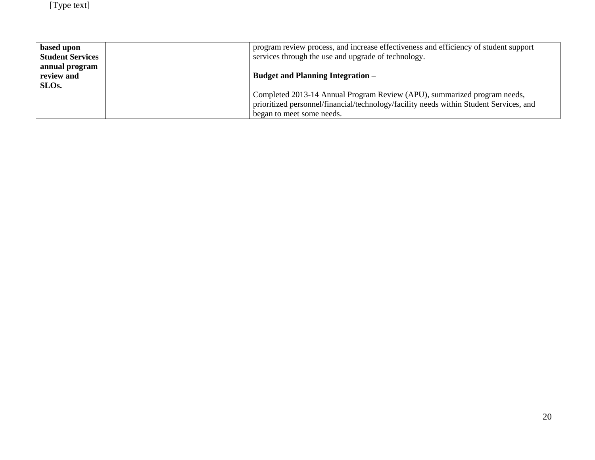| based upon              | program review process, and increase effectiveness and efficiency of student support   |
|-------------------------|----------------------------------------------------------------------------------------|
| <b>Student Services</b> | services through the use and upgrade of technology.                                    |
| annual program          |                                                                                        |
| review and              | <b>Budget and Planning Integration</b> –                                               |
| SLO <sub>s</sub> .      |                                                                                        |
|                         | Completed 2013-14 Annual Program Review (APU), summarized program needs,               |
|                         | prioritized personnel/financial/technology/facility needs within Student Services, and |
|                         | began to meet some needs.                                                              |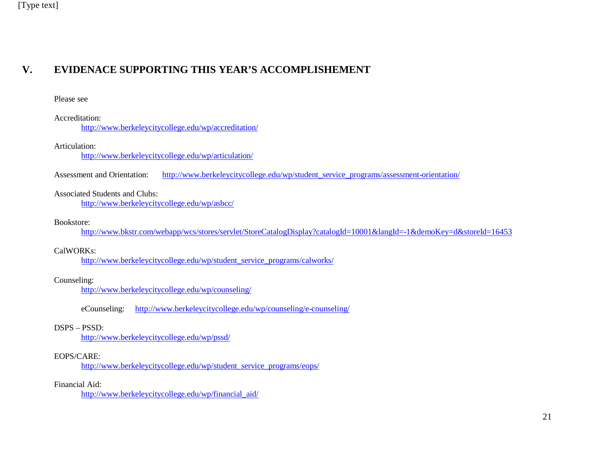# **V. EVIDENACE SUPPORTING THIS YEAR'S ACCOMPLISHEMENT**

#### Please see

#### Accreditation:

<http://www.berkeleycitycollege.edu/wp/accreditation/>

#### Articulation:

<http://www.berkeleycitycollege.edu/wp/articulation/>

Assessment and Orientation: [http://www.berkeleycitycollege.edu/wp/student\\_service\\_programs/assessment-orientation/](http://www.berkeleycitycollege.edu/wp/student_service_programs/assessment-orientation/)

#### Associated Students and Clubs:

<http://www.berkeleycitycollege.edu/wp/asbcc/>

#### Bookstore:

<http://www.bkstr.com/webapp/wcs/stores/servlet/StoreCatalogDisplay?catalogId=10001&langId=-1&demoKey=d&storeId=16453>

#### CalWORKs:

[http://www.berkeleycitycollege.edu/wp/student\\_service\\_programs/calworks/](http://www.berkeleycitycollege.edu/wp/student_service_programs/calworks/)

#### Counseling:

<http://www.berkeleycitycollege.edu/wp/counseling/>

eCounseling: <http://www.berkeleycitycollege.edu/wp/counseling/e-counseling/>

#### DSPS – PSSD:

<http://www.berkeleycitycollege.edu/wp/pssd/>

#### EOPS/CARE:

[http://www.berkeleycitycollege.edu/wp/student\\_service\\_programs/eops/](http://www.berkeleycitycollege.edu/wp/student_service_programs/eops/)

#### Financial Aid:

[http://www.berkeleycitycollege.edu/wp/financial\\_aid/](http://www.berkeleycitycollege.edu/wp/financial_aid/)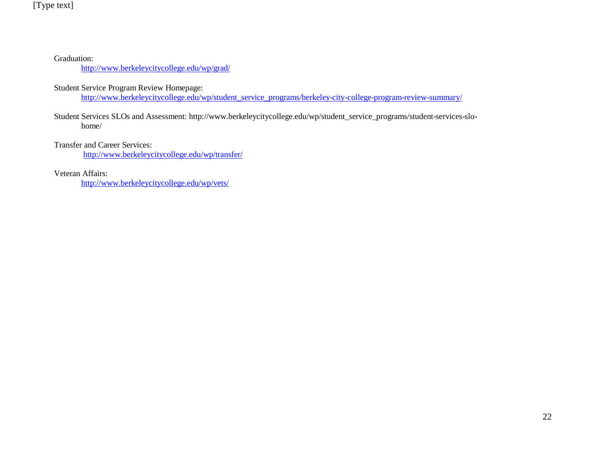Graduation:

<http://www.berkeleycitycollege.edu/wp/grad/>

Student Service Program Review Homepage:

[http://www.berkeleycitycollege.edu/wp/student\\_service\\_programs/berkeley-city-college-program-review-summary/](http://www.berkeleycitycollege.edu/wp/student_service_programs/berkeley-city-college-program-review-summary/)

Student Services SLOs and Assessment: [http://www.berkeleycitycollege.edu/wp/student\\_service\\_programs/student-services-slo](http://www.berkeleycitycollege.edu/wp/student_service_programs/student-services-slo-home/)[home/](http://www.berkeleycitycollege.edu/wp/student_service_programs/student-services-slo-home/)

Transfer and Career Services:

<http://www.berkeleycitycollege.edu/wp/transfer/>

Veteran Affairs:

<http://www.berkeleycitycollege.edu/wp/vets/>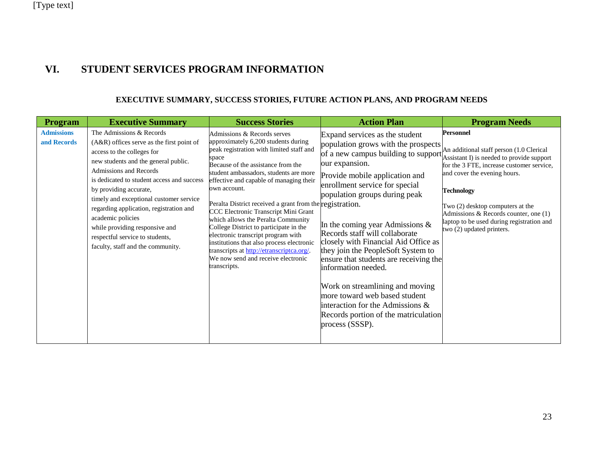# **VI. STUDENT SERVICES PROGRAM INFORMATION**

#### **EXECUTIVE SUMMARY, SUCCESS STORIES, FUTURE ACTION PLANS, AND PROGRAM NEEDS**

| <b>Program</b>                   | <b>Executive Summary</b>                                                                                                                                                                                                                                                                                                                                                                                                                                           | <b>Success Stories</b>                                                                                                                                                                                                                                                                                                                                                                                                                                                                                                                                                                                                                       | <b>Action Plan</b>                                                                                                                                                                                                                                                                                                                                                                                                                                                                                                                                                                                                            | <b>Program Needs</b>                                                                                                                                                                                                                                                                                                                                               |
|----------------------------------|--------------------------------------------------------------------------------------------------------------------------------------------------------------------------------------------------------------------------------------------------------------------------------------------------------------------------------------------------------------------------------------------------------------------------------------------------------------------|----------------------------------------------------------------------------------------------------------------------------------------------------------------------------------------------------------------------------------------------------------------------------------------------------------------------------------------------------------------------------------------------------------------------------------------------------------------------------------------------------------------------------------------------------------------------------------------------------------------------------------------------|-------------------------------------------------------------------------------------------------------------------------------------------------------------------------------------------------------------------------------------------------------------------------------------------------------------------------------------------------------------------------------------------------------------------------------------------------------------------------------------------------------------------------------------------------------------------------------------------------------------------------------|--------------------------------------------------------------------------------------------------------------------------------------------------------------------------------------------------------------------------------------------------------------------------------------------------------------------------------------------------------------------|
| <b>Admissions</b><br>and Records | The Admissions & Records<br>(A&R) offices serve as the first point of<br>access to the colleges for<br>new students and the general public.<br>Admissions and Records<br>is dedicated to student access and success<br>by providing accurate,<br>timely and exceptional customer service<br>regarding application, registration and<br>academic policies<br>while providing responsive and<br>respectful service to students,<br>faculty, staff and the community. | Admissions & Records serves<br>approximately 6,200 students during<br>peak registration with limited staff and<br>space<br>Because of the assistance from the<br>student ambassadors, students are more<br>effective and capable of managing their<br>own account.<br>Peralta District received a grant from the registration.<br>CCC Electronic Transcript Mini Grant<br>which allows the Peralta Community<br>College District to participate in the<br>electronic transcript program with<br>institutions that also process electronic<br>transcripts at http://etranscriptca.org/.<br>We now send and receive electronic<br>transcripts. | Expand services as the student<br>population grows with the prospects<br>of a new campus building to support<br>our expansion.<br>Provide mobile application and<br>enrollment service for special<br>population groups during peak<br>In the coming year Admissions $\&$<br>Records staff will collaborate<br>closely with Financial Aid Office as<br>they join the PeopleSoft System to<br>ensure that students are receiving the<br>information needed.<br>Work on streamlining and moving<br>more toward web based student<br>interaction for the Admissions &<br>Records portion of the matriculation<br>process (SSSP). | <b>Personnel</b><br>An additional staff person (1.0 Clerical<br>Assistant I) is needed to provide support<br>for the 3 FTE, increase customer service,<br>and cover the evening hours.<br><b>Technology</b><br>Two (2) desktop computers at the<br>Admissions & Records counter, one (1)<br>laptop to be used during registration and<br>two (2) updated printers. |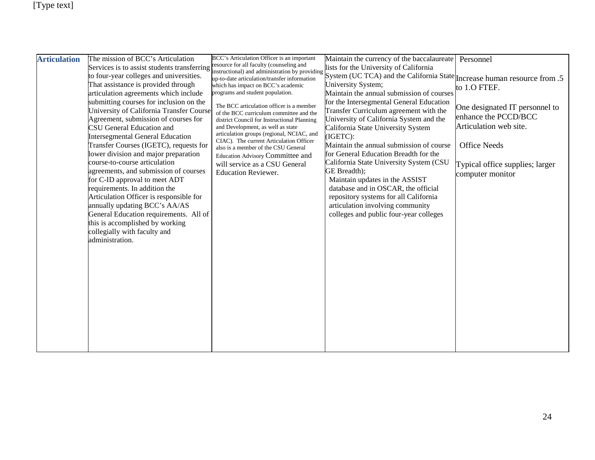| <b>Articulation</b> | The mission of BCC's Articulation                                                                                                                                                                                                                                                                                                                                                                                                                                                                                                                                                                                                                                                                                                                                                                                              | BCC's Articulation Officer is an important                                                                                                                                                                                                                                                                                                                                                                                                                                                                                                                                                                                               | Maintain the currency of the baccalaureate                                                                                                                                                                                                                                                                                                                                                                                                                                                                                                                                                                                                                                                                                   | Personnel                                                                                                                                                                      |
|---------------------|--------------------------------------------------------------------------------------------------------------------------------------------------------------------------------------------------------------------------------------------------------------------------------------------------------------------------------------------------------------------------------------------------------------------------------------------------------------------------------------------------------------------------------------------------------------------------------------------------------------------------------------------------------------------------------------------------------------------------------------------------------------------------------------------------------------------------------|------------------------------------------------------------------------------------------------------------------------------------------------------------------------------------------------------------------------------------------------------------------------------------------------------------------------------------------------------------------------------------------------------------------------------------------------------------------------------------------------------------------------------------------------------------------------------------------------------------------------------------------|------------------------------------------------------------------------------------------------------------------------------------------------------------------------------------------------------------------------------------------------------------------------------------------------------------------------------------------------------------------------------------------------------------------------------------------------------------------------------------------------------------------------------------------------------------------------------------------------------------------------------------------------------------------------------------------------------------------------------|--------------------------------------------------------------------------------------------------------------------------------------------------------------------------------|
|                     | Services is to assist students transferring<br>to four-year colleges and universities.<br>That assistance is provided through<br>articulation agreements which include<br>submitting courses for inclusion on the<br>University of California Transfer Course<br>Agreement, submission of courses for<br><b>CSU</b> General Education and<br><b>Intersegmental General Education</b><br>Transfer Courses (IGETC), requests for<br>lower division and major preparation<br>course-to-course articulation<br>agreements, and submission of courses<br>for C-ID approval to meet ADT<br>requirements. In addition the<br>Articulation Officer is responsible for<br>annually updating BCC's AA/AS<br>General Education requirements. All of<br>this is accomplished by working<br>collegially with faculty and<br>administration. | resource for all faculty (counseling and<br>instructional) and administration by providing<br>up-to-date articulation/transfer information<br>which has impact on BCC's academic<br>programs and student population.<br>The BCC articulation officer is a member<br>of the BCC curriculum committee and the<br>district Council for Instructional Planning<br>and Development, as well as state<br>articulation groups (regional, NCIAC, and<br>CIAC). The current Articulation Officer<br>also is a member of the CSU General<br><b>Education Advisory Committee and</b><br>will service as a CSU General<br><b>Education Reviewer.</b> | lists for the University of California<br>System (UC TCA) and the California State $ $ Increase human resource from .5<br>University System;<br>Maintain the annual submission of courses<br>for the Intersegmental General Education<br>Transfer Curriculum agreement with the<br>University of California System and the<br>California State University System<br>(IGETC):<br>Maintain the annual submission of course<br>for General Education Breadth for the<br>California State University System (CSU<br>GE Breadth);<br>Maintain updates in the ASSIST<br>database and in OSCAR, the official<br>repository systems for all California<br>articulation involving community<br>colleges and public four-year colleges | to 1.0 FTEF.<br>One designated IT personnel to<br>enhance the PCCD/BCC<br>Articulation web site.<br><b>Office Needs</b><br>Typical office supplies; larger<br>computer monitor |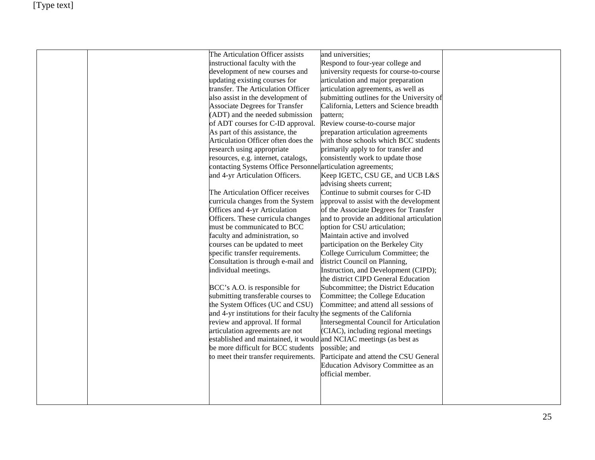|  | The Articulation Officer assists                                       | and universities;                         |  |
|--|------------------------------------------------------------------------|-------------------------------------------|--|
|  | instructional faculty with the                                         | Respond to four-year college and          |  |
|  | development of new courses and                                         | university requests for course-to-course  |  |
|  | updating existing courses for                                          | articulation and major preparation        |  |
|  | transfer. The Articulation Officer                                     | articulation agreements, as well as       |  |
|  | also assist in the development of                                      | submitting outlines for the University of |  |
|  | <b>Associate Degrees for Transfer</b>                                  | California, Letters and Science breadth   |  |
|  | (ADT) and the needed submission                                        | pattern;                                  |  |
|  | of ADT courses for C-ID approval.                                      | Review course-to-course major             |  |
|  | As part of this assistance, the                                        | preparation articulation agreements       |  |
|  | Articulation Officer often does the                                    | with those schools which BCC students     |  |
|  | research using appropriate                                             | primarily apply to for transfer and       |  |
|  | resources, e.g. internet, catalogs,                                    | consistently work to update those         |  |
|  | contacting Systems Office Personnel articulation agreements;           |                                           |  |
|  | and 4-yr Articulation Officers.                                        | Keep IGETC, CSU GE, and UCB L&S           |  |
|  |                                                                        | advising sheets current;                  |  |
|  | The Articulation Officer receives                                      | Continue to submit courses for C-ID       |  |
|  | curricula changes from the System                                      | approval to assist with the development   |  |
|  | Offices and 4-yr Articulation                                          | of the Associate Degrees for Transfer     |  |
|  | Officers. These curricula changes                                      | and to provide an additional articulation |  |
|  | must be communicated to BCC                                            | option for CSU articulation;              |  |
|  | faculty and administration, so                                         | Maintain active and involved              |  |
|  | courses can be updated to meet                                         | participation on the Berkeley City        |  |
|  | specific transfer requirements.                                        | College Curriculum Committee; the         |  |
|  | Consultation is through e-mail and                                     | district Council on Planning,             |  |
|  | individual meetings.                                                   | Instruction, and Development (CIPD);      |  |
|  |                                                                        | the district CIPD General Education       |  |
|  | BCC's A.O. is responsible for                                          | Subcommittee; the District Education      |  |
|  | submitting transferable courses to                                     | Committee; the College Education          |  |
|  | the System Offices (UC and CSU)                                        | Committee; and attend all sessions of     |  |
|  | and 4-yr institutions for their faculty the segments of the California |                                           |  |
|  | review and approval. If formal                                         | Intersegmental Council for Articulation   |  |
|  | articulation agreements are not                                        | (CIAC), including regional meetings       |  |
|  | established and maintained, it would and NCIAC meetings (as best as    |                                           |  |
|  | be more difficult for BCC students                                     | possible; and                             |  |
|  | to meet their transfer requirements.                                   | Participate and attend the CSU General    |  |
|  |                                                                        | Education Advisory Committee as an        |  |
|  |                                                                        | official member.                          |  |
|  |                                                                        |                                           |  |
|  |                                                                        |                                           |  |
|  |                                                                        |                                           |  |
|  |                                                                        |                                           |  |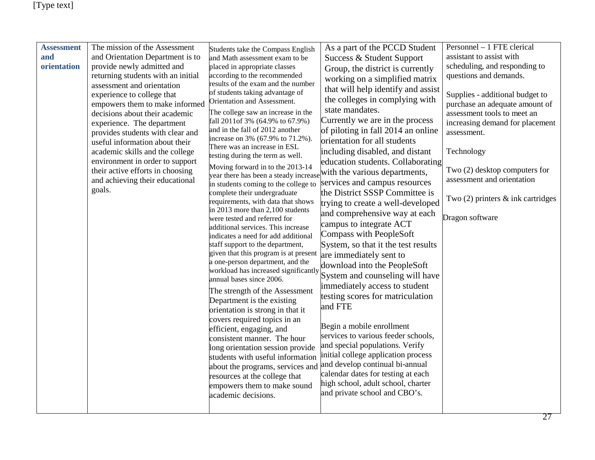| <b>Assessment</b><br>and<br>orientation | The mission of the Assessment<br>and Orientation Department is to<br>provide newly admitted and<br>returning students with an initial<br>assessment and orientation<br>experience to college that<br>empowers them to make informed<br>decisions about their academic<br>experience. The department<br>provides students with clear and<br>useful information about their<br>academic skills and the college<br>environment in order to support<br>their active efforts in choosing<br>and achieving their educational<br>goals. | Students take the Compass English<br>and Math assessment exam to be<br>placed in appropriate classes<br>according to the recommended<br>results of the exam and the number<br>of students taking advantage of<br>Orientation and Assessment.<br>The college saw an increase in the<br>fall 2011 of 3% (64.9% to 67.9%)<br>and in the fall of 2012 another<br>increase on 3% (67.9% to 71.2%).<br>There was an increase in ESL<br>testing during the term as well.<br>Moving forward in to the 2013-14<br>year there has been a steady increase<br>in students coming to the college to<br>complete their undergraduate<br>requirements, with data that shows<br>in 2013 more than 2,100 students<br>were tested and referred for<br>additional services. This increase<br>indicates a need for add additional<br>staff support to the department,<br>given that this program is at present<br>a one-person department, and the<br>workload has increased significantly<br>annual bases since 2006.<br>The strength of the Assessment<br>Department is the existing<br>orientation is strong in that it<br>covers required topics in an<br>efficient, engaging, and<br>consistent manner. The hour<br>long orientation session provide<br>students with useful information<br>about the programs, services and<br>resources at the college that<br>empowers them to make sound<br>academic decisions. | As a part of the PCCD Student<br>Success & Student Support<br>Group, the district is currently<br>working on a simplified matrix<br>that will help identify and assist<br>the colleges in complying with<br>state mandates.<br>Currently we are in the process<br>of piloting in fall 2014 an online<br>orientation for all students<br>including disabled, and distant<br>education students. Collaborating<br>with the various departments,<br>services and campus resources<br>the District SSSP Committee is<br>trying to create a well-developed<br>and comprehensive way at each<br>campus to integrate ACT<br>Compass with PeopleSoft<br>System, so that it the test results<br>are immediately sent to<br>download into the PeopleSoft<br>System and counseling will have<br>immediately access to student<br>testing scores for matriculation<br>and FTE<br>Begin a mobile enrollment<br>services to various feeder schools,<br>and special populations. Verify<br>initial college application process<br>and develop continual bi-annual<br>calendar dates for testing at each<br>high school, adult school, charter<br>and private school and CBO's. | Personnel - 1 FTE clerical<br>assistant to assist with<br>scheduling, and responding to<br>questions and demands.<br>Supplies - additional budget to<br>purchase an adequate amount of<br>assessment tools to meet an<br>increasing demand for placement<br>assessment.<br>Technology<br>Two (2) desktop computers for<br>assessment and orientation<br>Two $(2)$ printers $\&$ ink cartridges<br>Dragon software |
|-----------------------------------------|----------------------------------------------------------------------------------------------------------------------------------------------------------------------------------------------------------------------------------------------------------------------------------------------------------------------------------------------------------------------------------------------------------------------------------------------------------------------------------------------------------------------------------|------------------------------------------------------------------------------------------------------------------------------------------------------------------------------------------------------------------------------------------------------------------------------------------------------------------------------------------------------------------------------------------------------------------------------------------------------------------------------------------------------------------------------------------------------------------------------------------------------------------------------------------------------------------------------------------------------------------------------------------------------------------------------------------------------------------------------------------------------------------------------------------------------------------------------------------------------------------------------------------------------------------------------------------------------------------------------------------------------------------------------------------------------------------------------------------------------------------------------------------------------------------------------------------------------------------------------------------------------------------------------------------------------|-----------------------------------------------------------------------------------------------------------------------------------------------------------------------------------------------------------------------------------------------------------------------------------------------------------------------------------------------------------------------------------------------------------------------------------------------------------------------------------------------------------------------------------------------------------------------------------------------------------------------------------------------------------------------------------------------------------------------------------------------------------------------------------------------------------------------------------------------------------------------------------------------------------------------------------------------------------------------------------------------------------------------------------------------------------------------------------------------------------------------------------------------------------------|-------------------------------------------------------------------------------------------------------------------------------------------------------------------------------------------------------------------------------------------------------------------------------------------------------------------------------------------------------------------------------------------------------------------|
|-----------------------------------------|----------------------------------------------------------------------------------------------------------------------------------------------------------------------------------------------------------------------------------------------------------------------------------------------------------------------------------------------------------------------------------------------------------------------------------------------------------------------------------------------------------------------------------|------------------------------------------------------------------------------------------------------------------------------------------------------------------------------------------------------------------------------------------------------------------------------------------------------------------------------------------------------------------------------------------------------------------------------------------------------------------------------------------------------------------------------------------------------------------------------------------------------------------------------------------------------------------------------------------------------------------------------------------------------------------------------------------------------------------------------------------------------------------------------------------------------------------------------------------------------------------------------------------------------------------------------------------------------------------------------------------------------------------------------------------------------------------------------------------------------------------------------------------------------------------------------------------------------------------------------------------------------------------------------------------------------|-----------------------------------------------------------------------------------------------------------------------------------------------------------------------------------------------------------------------------------------------------------------------------------------------------------------------------------------------------------------------------------------------------------------------------------------------------------------------------------------------------------------------------------------------------------------------------------------------------------------------------------------------------------------------------------------------------------------------------------------------------------------------------------------------------------------------------------------------------------------------------------------------------------------------------------------------------------------------------------------------------------------------------------------------------------------------------------------------------------------------------------------------------------------|-------------------------------------------------------------------------------------------------------------------------------------------------------------------------------------------------------------------------------------------------------------------------------------------------------------------------------------------------------------------------------------------------------------------|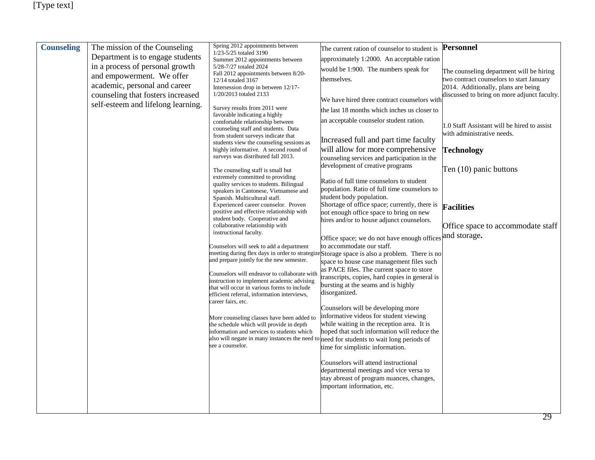| <b>Counseling</b> | The mission of the Counseling      | Spring 2012 appointments between<br>1/23-5/25 totaled 3190                                | The current ration of counselor to student is                                                | Personnel                                   |
|-------------------|------------------------------------|-------------------------------------------------------------------------------------------|----------------------------------------------------------------------------------------------|---------------------------------------------|
|                   | Department is to engage students   | Summer 2012 appointments between                                                          | approximately 1:2000. An acceptable ration                                                   |                                             |
|                   | in a process of personal growth    | 5/28-7/27 totaled 2024                                                                    | would be 1:900. The numbers speak for                                                        | The counseling department will be hiring    |
|                   | and empowerment. We offer          | Fall 2012 appointments between 8/20-<br>12/14 totaled 3167                                | themselves.                                                                                  | two contract counselors to start January    |
|                   | academic, personal and career      | Intersession drop in between 12/17-                                                       |                                                                                              | 2014. Additionally, plans are being         |
|                   | counseling that fosters increased  | 1/20/2013 totaled 2133                                                                    |                                                                                              | discussed to bring on more adjunct faculty. |
|                   | self-esteem and lifelong learning. | Survey results from 2011 were                                                             | We have hired three contract counselors with                                                 |                                             |
|                   |                                    | favorable indicating a highly                                                             | the last 18 months which inches us closer to                                                 |                                             |
|                   |                                    | comfortable relationship between                                                          | an acceptable counselor student ration.                                                      | 1.0 Staff Assistant will be hired to assist |
|                   |                                    | counseling staff and students. Data                                                       |                                                                                              | with administrative needs.                  |
|                   |                                    | from student surveys indicate that<br>students view the counseling sessions as            | Increased full and part time faculty                                                         |                                             |
|                   |                                    | highly informative. A second round of                                                     | will allow for more comprehensive                                                            | <b>Technology</b>                           |
|                   |                                    | surveys was distributed fall 2013.                                                        | counseling services and participation in the                                                 |                                             |
|                   |                                    | The counseling staff is small but                                                         | development of creative programs                                                             | Ten (10) panic buttons                      |
|                   |                                    | extremely committed to providing                                                          |                                                                                              |                                             |
|                   |                                    | quality services to students. Bilingual                                                   | Ratio of full time counselors to student<br>population. Ratio of full time counselors to     |                                             |
|                   |                                    | speakers in Cantonese, Vietnamese and<br>Spanish. Multicultural staff.                    | student body population.                                                                     |                                             |
|                   |                                    | Experienced career counselor. Proven                                                      | Shortage of office space; currently, there is                                                | <b>Facilities</b>                           |
|                   |                                    | positive and effective relationship with                                                  | not enough office space to bring on new                                                      |                                             |
|                   |                                    | student body. Cooperative and<br>collaborative relationship with                          | hires and/or to house adjunct counselors.                                                    |                                             |
|                   |                                    | instructional faculty.                                                                    |                                                                                              | Office space to accommodate staff           |
|                   |                                    |                                                                                           | Office space; we do not have enough offices                                                  | and storage.                                |
|                   |                                    | Counselors will seek to add a department                                                  | to accommodate our staff.                                                                    |                                             |
|                   |                                    | and prepare jointly for the new semester.                                                 | meeting during flex days in order to strategize Storage space is also a problem. There is no |                                             |
|                   |                                    |                                                                                           | space to house case management files such<br>as PACE files. The current space to store       |                                             |
|                   |                                    | Counselors will endeavor to collaborate with                                              | transcripts, copies, hard copies in general is                                               |                                             |
|                   |                                    | instruction to implement academic advising<br>that will occur in various forms to include | bursting at the seams and is highly                                                          |                                             |
|                   |                                    | efficient referral, information interviews,                                               | disorganized.                                                                                |                                             |
|                   |                                    | career fairs, etc.                                                                        |                                                                                              |                                             |
|                   |                                    |                                                                                           | Counselors will be developing more<br>informative videos for student viewing                 |                                             |
|                   |                                    | More counseling classes have been added to<br>the schedule which will provide in depth    | while waiting in the reception area. It is                                                   |                                             |
|                   |                                    | information and services to students which                                                | hoped that such information will reduce the                                                  |                                             |
|                   |                                    |                                                                                           | also will negate in many instances the need to need for students to wait long periods of     |                                             |
|                   |                                    | see a counselor.                                                                          | time for simplistic information.                                                             |                                             |
|                   |                                    |                                                                                           |                                                                                              |                                             |
|                   |                                    |                                                                                           | Counselors will attend instructional                                                         |                                             |
|                   |                                    |                                                                                           | departmental meetings and vice versa to<br>stay abreast of program nuances, changes,         |                                             |
|                   |                                    |                                                                                           | important information, etc.                                                                  |                                             |
|                   |                                    |                                                                                           |                                                                                              |                                             |
|                   |                                    |                                                                                           |                                                                                              |                                             |
|                   |                                    |                                                                                           |                                                                                              |                                             |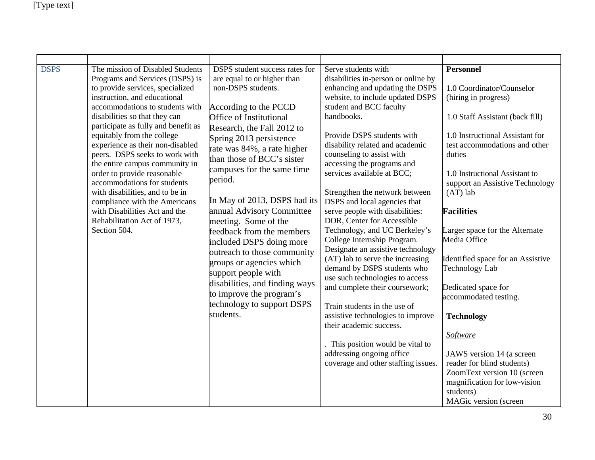| <b>DSPS</b> | The mission of Disabled Students<br>Programs and Services (DSPS) is<br>to provide services, specialized<br>instruction, and educational<br>accommodations to students with<br>disabilities so that they can<br>participate as fully and benefit as<br>equitably from the college<br>experience as their non-disabled<br>peers. DSPS seeks to work with<br>the entire campus community in<br>order to provide reasonable<br>accommodations for students<br>with disabilities, and to be in<br>compliance with the Americans<br>with Disabilities Act and the<br>Rehabilitation Act of 1973,<br>Section 504. | DSPS student success rates for<br>are equal to or higher than<br>non-DSPS students.<br>According to the PCCD<br>Office of Institutional<br>Research, the Fall 2012 to<br>Spring 2013 persistence<br>rate was 84%, a rate higher<br>than those of BCC's sister<br>campuses for the same time<br>period.<br>In May of 2013, DSPS had its<br>annual Advisory Committee<br>meeting. Some of the<br>feedback from the members<br>included DSPS doing more<br>outreach to those community<br>groups or agencies which<br>support people with<br>disabilities, and finding ways<br>to improve the program's<br>technology to support DSPS<br>students. | Serve students with<br>disabilities in-person or online by<br>enhancing and updating the DSPS<br>website, to include updated DSPS<br>student and BCC faculty<br>handbooks.<br>Provide DSPS students with<br>disability related and academic<br>counseling to assist with<br>accessing the programs and<br>services available at BCC;<br>Strengthen the network between<br>DSPS and local agencies that<br>serve people with disabilities:<br>DOR, Center for Accessible<br>Technology, and UC Berkeley's<br>College Internship Program.<br>Designate an assistive technology<br>(AT) lab to serve the increasing<br>demand by DSPS students who<br>use such technologies to access<br>and complete their coursework;<br>Train students in the use of<br>assistive technologies to improve<br>their academic success.<br>. This position would be vital to<br>addressing ongoing office<br>coverage and other staffing issues. | <b>Personnel</b><br>1.0 Coordinator/Counselor<br>(hiring in progress)<br>1.0 Staff Assistant (back fill)<br>1.0 Instructional Assistant for<br>test accommodations and other<br>duties<br>1.0 Instructional Assistant to<br>support an Assistive Technology<br>$(AT)$ lab<br><b>Facilities</b><br>Larger space for the Alternate<br>Media Office<br>Identified space for an Assistive<br><b>Technology Lab</b><br>Dedicated space for<br>accommodated testing.<br><b>Technology</b><br>Software<br>JAWS version 14 (a screen<br>reader for blind students)<br>ZoomText version 10 (screen<br>magnification for low-vision<br>students)<br>MAGic version (screen |
|-------------|------------------------------------------------------------------------------------------------------------------------------------------------------------------------------------------------------------------------------------------------------------------------------------------------------------------------------------------------------------------------------------------------------------------------------------------------------------------------------------------------------------------------------------------------------------------------------------------------------------|-------------------------------------------------------------------------------------------------------------------------------------------------------------------------------------------------------------------------------------------------------------------------------------------------------------------------------------------------------------------------------------------------------------------------------------------------------------------------------------------------------------------------------------------------------------------------------------------------------------------------------------------------|-------------------------------------------------------------------------------------------------------------------------------------------------------------------------------------------------------------------------------------------------------------------------------------------------------------------------------------------------------------------------------------------------------------------------------------------------------------------------------------------------------------------------------------------------------------------------------------------------------------------------------------------------------------------------------------------------------------------------------------------------------------------------------------------------------------------------------------------------------------------------------------------------------------------------------|-----------------------------------------------------------------------------------------------------------------------------------------------------------------------------------------------------------------------------------------------------------------------------------------------------------------------------------------------------------------------------------------------------------------------------------------------------------------------------------------------------------------------------------------------------------------------------------------------------------------------------------------------------------------|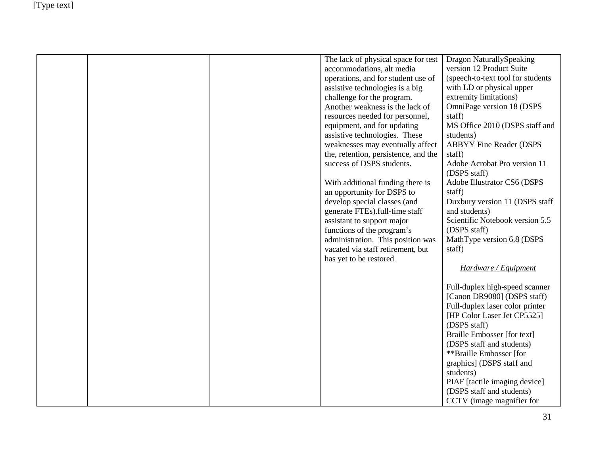|  | The lack of physical space for test<br>accommodations, alt media<br>operations, and for student use of<br>assistive technologies is a big<br>challenge for the program.<br>Another weakness is the lack of<br>resources needed for personnel, | Dragon NaturallySpeaking<br>version 12 Product Suite<br>(speech-to-text tool for students<br>with LD or physical upper<br>extremity limitations)<br>OmniPage version 18 (DSPS<br>staff) |
|--|-----------------------------------------------------------------------------------------------------------------------------------------------------------------------------------------------------------------------------------------------|-----------------------------------------------------------------------------------------------------------------------------------------------------------------------------------------|
|  | equipment, and for updating<br>assistive technologies. These<br>weaknesses may eventually affect                                                                                                                                              | MS Office 2010 (DSPS staff and<br>students)<br><b>ABBYY Fine Reader (DSPS</b>                                                                                                           |
|  | the, retention, persistence, and the<br>success of DSPS students.                                                                                                                                                                             | staff)<br>Adobe Acrobat Pro version 11                                                                                                                                                  |
|  | With additional funding there is                                                                                                                                                                                                              | (DSPS staff)<br>Adobe Illustrator CS6 (DSPS                                                                                                                                             |
|  | an opportunity for DSPS to<br>develop special classes (and<br>generate FTEs).full-time staff                                                                                                                                                  | staff)<br>Duxbury version 11 (DSPS staff<br>and students)                                                                                                                               |
|  | assistant to support major<br>functions of the program's                                                                                                                                                                                      | Scientific Notebook version 5.5<br>(DSPS staff)                                                                                                                                         |
|  | administration. This position was<br>vacated via staff retirement, but<br>has yet to be restored                                                                                                                                              | MathType version 6.8 (DSPS<br>staff)                                                                                                                                                    |
|  |                                                                                                                                                                                                                                               | Hardware / Equipment                                                                                                                                                                    |
|  |                                                                                                                                                                                                                                               | Full-duplex high-speed scanner<br>[Canon DR9080] (DSPS staff)<br>Full-duplex laser color printer<br>[HP Color Laser Jet CP5525]<br>(DSPS staff)                                         |
|  |                                                                                                                                                                                                                                               | Braille Embosser [for text]<br>(DSPS staff and students)<br>**Braille Embosser [for                                                                                                     |
|  |                                                                                                                                                                                                                                               | graphics] (DSPS staff and<br>students)<br>PIAF [tactile imaging device]                                                                                                                 |
|  |                                                                                                                                                                                                                                               | (DSPS staff and students)<br>CCTV (image magnifier for                                                                                                                                  |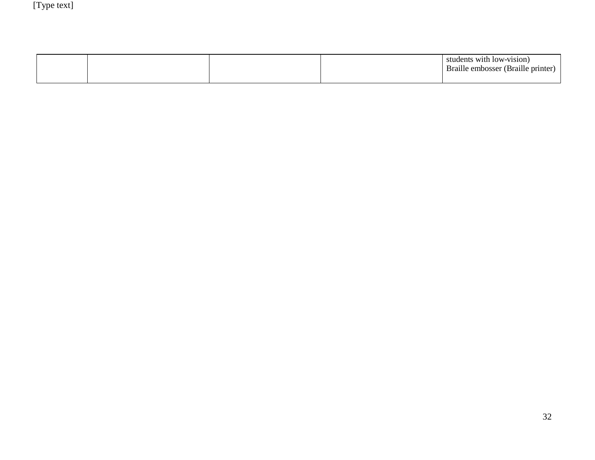|  |  | students with low-vision)<br>Braille embosser (Braille printer) |
|--|--|-----------------------------------------------------------------|
|  |  |                                                                 |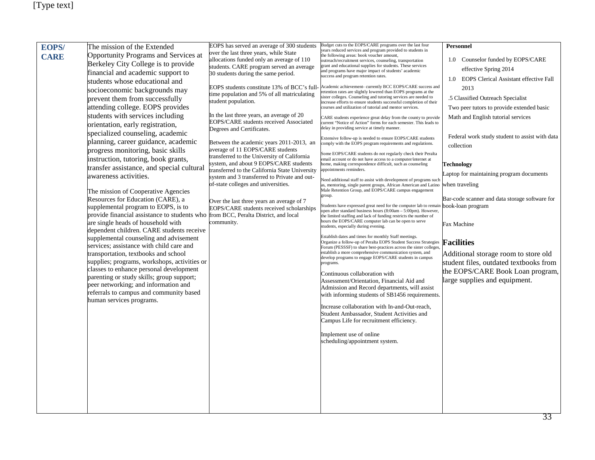| <b>EOPS/</b> | The mission of the Extended                                                                                              | EOPS has served an average of 300 students                                          | Budget cuts to the EOPS/CARE programs over the last four                                                                                                    | Personnel                                      |
|--------------|--------------------------------------------------------------------------------------------------------------------------|-------------------------------------------------------------------------------------|-------------------------------------------------------------------------------------------------------------------------------------------------------------|------------------------------------------------|
| <b>CARE</b>  | Opportunity Programs and Services at                                                                                     | over the last three years, while State                                              | years reduced services and program provided to students in<br>the following areas: book voucher amount,                                                     |                                                |
|              | Berkeley City College is to provide                                                                                      | allocations funded only an average of 110                                           | outreach/recruitment services, counseling, transportation                                                                                                   | 1.0 Counselor funded by EOPS/CARE              |
|              | financial and academic support to                                                                                        | students. CARE program served an average<br>30 students during the same period.     | grant and educational supplies for students. These services<br>and programs have major impact of students' academic                                         | effective Spring 2014                          |
|              | students whose educational and                                                                                           |                                                                                     | success and program retention rates.                                                                                                                        | 1.0 EOPS Clerical Assistant effective Fall     |
|              | socioeconomic backgrounds may                                                                                            | EOPS students constitute 13% of BCC's full-                                         | Academic achievement- currently BCC EOPS/CARE success and<br>etention rates are slightly lowered than EOPS programs at the                                  | 2013                                           |
|              | prevent them from successfully                                                                                           | time population and 5% of all matriculating<br>student population.                  | ister colleges. Counseling and tutoring services are needed to<br>increase efforts to ensure students successful completion of their                        | .5 Classified Outreach Specialist              |
|              | attending college. EOPS provides                                                                                         |                                                                                     | courses and utilization of tutorial and mentor services.                                                                                                    | Two peer tutors to provide extended basic      |
|              | students with services including                                                                                         | In the last three years, an average of 20                                           | CARE students experience great delay from the county to provide                                                                                             | Math and English tutorial services             |
|              | orientation, early registration,                                                                                         | EOPS/CARE students received Associated<br>Degrees and Certificates.                 | current "Notice of Action" forms for each semester. This leads to<br>delay in providing service at timely manner.                                           |                                                |
|              | specialized counseling, academic                                                                                         |                                                                                     | Extensive follow-up is needed to ensure EOPS/CARE students                                                                                                  | Federal work study student to assist with data |
|              | planning, career guidance, academic                                                                                      | Between the academic years 2011-2013, an                                            | comply with the EOPS program requirements and regulations.                                                                                                  | collection                                     |
|              | progress monitoring, basic skills                                                                                        | average of 11 EOPS/CARE students<br>transferred to the University of California     | Some EOPS/CARE students do not regularly check their Peralta                                                                                                |                                                |
|              | instruction, tutoring, book grants,                                                                                      | system, and about 9 EOPS/CARE students                                              | mail account or do not have access to a computer/internet at<br>nome, making correspondence difficult, such as counseling                                   | Technology                                     |
|              | transfer assistance, and special cultural                                                                                | transferred to the California State University                                      | ppointments reminders.                                                                                                                                      | Laptop for maintaining program documents       |
|              | awareness activities.                                                                                                    | system and 3 transferred to Private and out-<br>of-state colleges and universities. | Need additional staff to assist with development of programs such<br>as, mentoring, single parent groups, African American and Latino                       | when traveling                                 |
|              | The mission of Cooperative Agencies                                                                                      |                                                                                     | Male Retention Group, and EOPS/CARE campus engagement                                                                                                       |                                                |
|              | Resources for Education (CARE), a                                                                                        | Over the last three years an average of 7                                           | group.                                                                                                                                                      | Bar-code scanner and data storage software for |
|              | supplemental program to EOPS, is to                                                                                      | EOPS/CARE students received scholarships                                            | Students have expressed great need for the computer lab to remain <b>book-loan program</b><br>pen after standard business hours (8:00am - 5:00pm). However, |                                                |
|              | provide financial assistance to students who from BCC, Peralta District, and local<br>are single heads of household with | community.                                                                          | the limited staffing and lack of funding restricts the number of<br>hours the EOPS/CARE computer lab can be open to serve                                   |                                                |
|              | dependent children. CARE students receive                                                                                |                                                                                     | students, especially during evening.                                                                                                                        | Fax Machine                                    |
|              | supplemental counseling and advisement                                                                                   |                                                                                     | Establish dates and times for monthly Staff meetings.                                                                                                       |                                                |
|              | services; assistance with child care and                                                                                 |                                                                                     | Organize a follow-up of Peralta EOPS Student Success Strategies<br>Forum (PESSSF) to share best-practices across the sister colleges,                       | <b>Facilities</b>                              |
|              | transportation, textbooks and school                                                                                     |                                                                                     | establish a more comprehensive communication system, and<br>develop programs to engage EOPS/CARE students in campus                                         | Additional storage room to store old           |
|              | supplies; programs, workshops, activities or                                                                             |                                                                                     | programs.                                                                                                                                                   | student files, outdated textbooks from         |
|              | classes to enhance personal development<br>parenting or study skills; group support;                                     |                                                                                     | Continuous collaboration with                                                                                                                               | the EOPS/CARE Book Loan program,               |
|              | peer networking; and information and                                                                                     |                                                                                     | Assessment/Orientation, Financial Aid and                                                                                                                   | large supplies and equipment.                  |
|              | referrals to campus and community based                                                                                  |                                                                                     | Admission and Record departments, will assist<br>with informing students of SB1456 requirements.                                                            |                                                |
|              | human services programs.                                                                                                 |                                                                                     |                                                                                                                                                             |                                                |
|              |                                                                                                                          |                                                                                     | Increase collaboration with In-and-Out-reach,<br>Student Ambassador, Student Activities and                                                                 |                                                |
|              |                                                                                                                          |                                                                                     | Campus Life for recruitment efficiency.                                                                                                                     |                                                |
|              |                                                                                                                          |                                                                                     |                                                                                                                                                             |                                                |
|              |                                                                                                                          |                                                                                     | Implement use of online<br>scheduling/appointment system.                                                                                                   |                                                |
|              |                                                                                                                          |                                                                                     |                                                                                                                                                             |                                                |
|              |                                                                                                                          |                                                                                     |                                                                                                                                                             |                                                |
|              |                                                                                                                          |                                                                                     |                                                                                                                                                             |                                                |
|              |                                                                                                                          |                                                                                     |                                                                                                                                                             |                                                |
|              |                                                                                                                          |                                                                                     |                                                                                                                                                             |                                                |
|              |                                                                                                                          |                                                                                     |                                                                                                                                                             |                                                |
|              |                                                                                                                          |                                                                                     |                                                                                                                                                             |                                                |
|              |                                                                                                                          |                                                                                     |                                                                                                                                                             |                                                |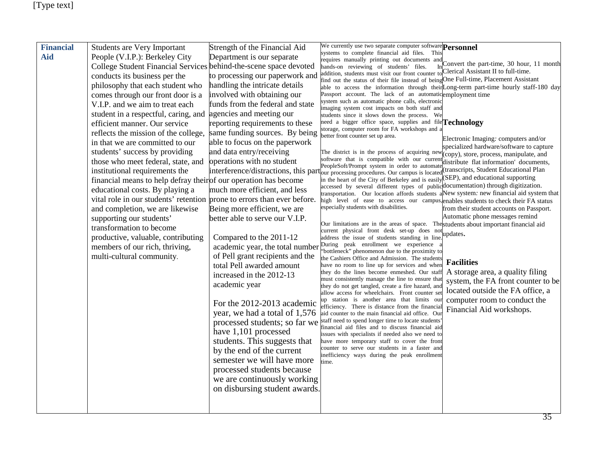| <b>Financial</b> | <b>Students are Very Important</b>                                          | Strength of the Financial Aid                                | We currently use two separate computer software <b>Personnel</b><br>systems to complete financial aid files. This                                                              |                                                                             |
|------------------|-----------------------------------------------------------------------------|--------------------------------------------------------------|--------------------------------------------------------------------------------------------------------------------------------------------------------------------------------|-----------------------------------------------------------------------------|
| Aid              | People (V.I.P.): Berkeley City<br><b>College Student Financial Services</b> | Department is our separate<br>behind-the-scene space devoted | requires manually printing out documents and<br>hands-on reviewing of students' files.                                                                                         | Convert the part-time, 30 hour, 11 month                                    |
|                  | conducts its business per the                                               | to processing our paperwork and                              | addition, students must visit our front counter to Clerical Assistant II to full-time.                                                                                         |                                                                             |
|                  | philosophy that each student who                                            | handling the intricate details                               | find out the status of their file instead of being One Full-time, Placement Assistant<br>able to access the information through their Long-term part-time hourly staff-180 day |                                                                             |
|                  | comes through our front door is a                                           | involved with obtaining our                                  | Passport account. The lack of an automaticemployment time                                                                                                                      |                                                                             |
|                  | V.I.P. and we aim to treat each                                             | funds from the federal and state                             | system such as automatic phone calls, electronic<br>imaging system cost impacts on both staff and                                                                              |                                                                             |
|                  | student in a respectful, caring, and                                        | agencies and meeting our                                     | students since it slows down the process. We                                                                                                                                   |                                                                             |
|                  | efficient manner. Our service                                               | reporting requirements to these                              | need a bigger office space, supplies and file Technology<br>storage, computer room for FA workshops and                                                                        |                                                                             |
|                  | reflects the mission of the college,                                        | same funding sources. By being                               | better front counter set up area.                                                                                                                                              | Electronic Imaging: computers and/or                                        |
|                  | in that we are committed to our                                             | able to focus on the paperwork                               |                                                                                                                                                                                | specialized hardware/software to capture                                    |
|                  | students' success by providing                                              | and data entry/receiving                                     | The district is in the process of acquiring nev                                                                                                                                | (copy), store, process, manipulate, and                                     |
|                  | those who meet federal, state, and                                          | operations with no student                                   | software that is compatible with our curren<br>PeopleSoft/Prompt system in order to automat                                                                                    | distribute flat information' documents,                                     |
|                  | institutional requirements the                                              |                                                              | interference/distractions, this part our processing procedures. Our campus is locate                                                                                           | (transcripts, Student Educational Plan<br>(SEP), and educational supporting |
|                  | financial means to help defray their of our operation has become            |                                                              | in the heart of the City of Berkeley and is easily<br>accessed by several different types of publicdocumentation) through digitization.                                        |                                                                             |
|                  | educational costs. By playing a                                             | much more efficient, and less                                | transportation. Our location affords students                                                                                                                                  | aNew system: new financial aid system that                                  |
|                  | vital role in our students' retention prone to errors than ever before.     |                                                              | high level of ease to access our campus, enables students to check their FA status<br>especially students with disabilities.                                                   |                                                                             |
|                  | and completion, we are likewise                                             | Being more efficient, we are                                 |                                                                                                                                                                                | from their student accounts on Passport.<br>Automatic phone messages remind |
|                  | supporting our students'<br>transformation to become                        | better able to serve our V.I.P.                              | Our limitations are in the areas of space. The students about important financial aid                                                                                          |                                                                             |
|                  |                                                                             | Compared to the 2011-12                                      | current physical front desk set-up does not                                                                                                                                    | updates.                                                                    |
|                  | productive, valuable, contributing<br>members of our rich, thriving,        | academic year, the total number                              | address the issue of students standing in line.<br>During peak enrollment we experience                                                                                        |                                                                             |
|                  | multi-cultural community.                                                   | of Pell grant recipients and the                             | 'bottleneck'' phenomenon due to the proximity to                                                                                                                               |                                                                             |
|                  |                                                                             | total Pell awarded amount                                    | the Cashiers Office and Admission. The students<br>have no room to line up for services and when                                                                               | <b>Facilities</b>                                                           |
|                  |                                                                             | increased in the 2012-13                                     | they do the lines become enmeshed. Our staff                                                                                                                                   | A storage area, a quality filing                                            |
|                  |                                                                             | academic year                                                | must consistently manage the line to ensure that<br>they do not get tangled, create a fire hazard, an                                                                          | system, the FA front counter to be                                          |
|                  |                                                                             |                                                              | allow access for wheelchairs. Front counter se                                                                                                                                 | located outside the FA office, a                                            |
|                  |                                                                             | For the 2012-2013 academic                                   | up station is another area that limits our                                                                                                                                     | computer room to conduct the                                                |
|                  |                                                                             | year, we had a total of 1,576                                | efficiency. There is distance from the financial<br>aid counter to the main financial aid office. Our                                                                          | Financial Aid workshops.                                                    |
|                  |                                                                             | processed students; so far we                                | staff need to spend longer time to locate students                                                                                                                             |                                                                             |
|                  |                                                                             | have 1,101 processed                                         | financial aid files and to discuss financial aid<br>issues with specialists if needed also we need to                                                                          |                                                                             |
|                  |                                                                             | students. This suggests that                                 | have more temporary staff to cover the front                                                                                                                                   |                                                                             |
|                  |                                                                             | by the end of the current                                    | counter to serve our students in a faster and                                                                                                                                  |                                                                             |
|                  |                                                                             | semester we will have more                                   | inefficiency ways during the peak enrollment<br>time.                                                                                                                          |                                                                             |
|                  |                                                                             | processed students because                                   |                                                                                                                                                                                |                                                                             |
|                  |                                                                             | we are continuously working                                  |                                                                                                                                                                                |                                                                             |
|                  |                                                                             | on disbursing student awards.                                |                                                                                                                                                                                |                                                                             |
|                  |                                                                             |                                                              |                                                                                                                                                                                |                                                                             |
|                  |                                                                             |                                                              |                                                                                                                                                                                |                                                                             |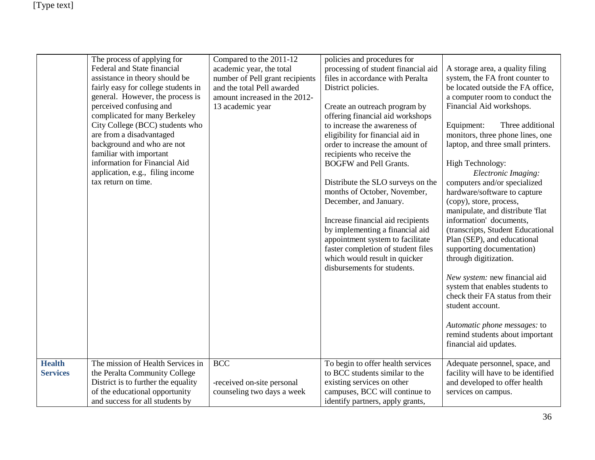|                                  | The process of applying for<br>Federal and State financial<br>assistance in theory should be<br>fairly easy for college students in<br>general. However, the process is<br>perceived confusing and<br>complicated for many Berkeley<br>City College (BCC) students who<br>are from a disadvantaged<br>background and who are not<br>familiar with important<br>information for Financial Aid<br>application, e.g., filing income<br>tax return on time. | Compared to the 2011-12<br>academic year, the total<br>number of Pell grant recipients<br>and the total Pell awarded<br>amount increased in the 2012-<br>13 academic year | policies and procedures for<br>processing of student financial aid<br>files in accordance with Peralta<br>District policies.<br>Create an outreach program by<br>offering financial aid workshops<br>to increase the awareness of<br>eligibility for financial aid in<br>order to increase the amount of<br>recipients who receive the<br><b>BOGFW</b> and Pell Grants.<br>Distribute the SLO surveys on the<br>months of October, November,<br>December, and January.<br>Increase financial aid recipients<br>by implementing a financial aid<br>appointment system to facilitate<br>faster completion of student files<br>which would result in quicker<br>disbursements for students. | A storage area, a quality filing<br>system, the FA front counter to<br>be located outside the FA office,<br>a computer room to conduct the<br>Financial Aid workshops.<br>Three additional<br>Equipment:<br>monitors, three phone lines, one<br>laptop, and three small printers.<br>High Technology:<br>Electronic Imaging:<br>computers and/or specialized<br>hardware/software to capture<br>(copy), store, process,<br>manipulate, and distribute 'flat<br>information' documents,<br>(transcripts, Student Educational<br>Plan (SEP), and educational<br>supporting documentation)<br>through digitization.<br>New system: new financial aid<br>system that enables students to<br>check their FA status from their<br>student account.<br>Automatic phone messages: to<br>remind students about important<br>financial aid updates. |
|----------------------------------|---------------------------------------------------------------------------------------------------------------------------------------------------------------------------------------------------------------------------------------------------------------------------------------------------------------------------------------------------------------------------------------------------------------------------------------------------------|---------------------------------------------------------------------------------------------------------------------------------------------------------------------------|------------------------------------------------------------------------------------------------------------------------------------------------------------------------------------------------------------------------------------------------------------------------------------------------------------------------------------------------------------------------------------------------------------------------------------------------------------------------------------------------------------------------------------------------------------------------------------------------------------------------------------------------------------------------------------------|-------------------------------------------------------------------------------------------------------------------------------------------------------------------------------------------------------------------------------------------------------------------------------------------------------------------------------------------------------------------------------------------------------------------------------------------------------------------------------------------------------------------------------------------------------------------------------------------------------------------------------------------------------------------------------------------------------------------------------------------------------------------------------------------------------------------------------------------|
| <b>Health</b><br><b>Services</b> | The mission of Health Services in<br>the Peralta Community College<br>District is to further the equality<br>of the educational opportunity<br>and success for all students by                                                                                                                                                                                                                                                                          | <b>BCC</b><br>-received on-site personal<br>counseling two days a week                                                                                                    | To begin to offer health services<br>to BCC students similar to the<br>existing services on other<br>campuses, BCC will continue to<br>identify partners, apply grants,                                                                                                                                                                                                                                                                                                                                                                                                                                                                                                                  | Adequate personnel, space, and<br>facility will have to be identified<br>and developed to offer health<br>services on campus.                                                                                                                                                                                                                                                                                                                                                                                                                                                                                                                                                                                                                                                                                                             |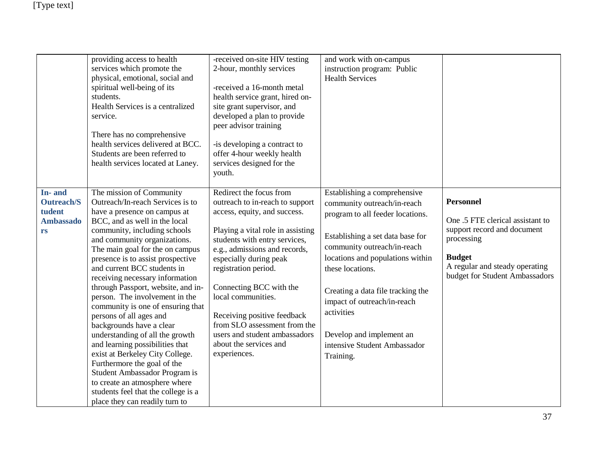|                                                                 | providing access to health<br>services which promote the<br>physical, emotional, social and<br>spiritual well-being of its<br>students.<br>Health Services is a centralized<br>service.<br>There has no comprehensive<br>health services delivered at BCC.<br>Students are been referred to<br>health services located at Laney.                                                                                                                                                                                                                                                                                                                                                                                                                                                               | -received on-site HIV testing<br>2-hour, monthly services<br>-received a 16-month metal<br>health service grant, hired on-<br>site grant supervisor, and<br>developed a plan to provide<br>peer advisor training<br>-is developing a contract to<br>offer 4-hour weekly health<br>services designed for the<br>youth.                                                                                                                          | and work with on-campus<br>instruction program: Public<br><b>Health Services</b>                                                                                                                                                                                                                                                                                                      |                                                                                                                                                                                        |
|-----------------------------------------------------------------|------------------------------------------------------------------------------------------------------------------------------------------------------------------------------------------------------------------------------------------------------------------------------------------------------------------------------------------------------------------------------------------------------------------------------------------------------------------------------------------------------------------------------------------------------------------------------------------------------------------------------------------------------------------------------------------------------------------------------------------------------------------------------------------------|------------------------------------------------------------------------------------------------------------------------------------------------------------------------------------------------------------------------------------------------------------------------------------------------------------------------------------------------------------------------------------------------------------------------------------------------|---------------------------------------------------------------------------------------------------------------------------------------------------------------------------------------------------------------------------------------------------------------------------------------------------------------------------------------------------------------------------------------|----------------------------------------------------------------------------------------------------------------------------------------------------------------------------------------|
| In-and<br><b>Outreach/S</b><br>tudent<br><b>Ambassado</b><br>rs | The mission of Community<br>Outreach/In-reach Services is to<br>have a presence on campus at<br>BCC, and as well in the local<br>community, including schools<br>and community organizations.<br>The main goal for the on campus<br>presence is to assist prospective<br>and current BCC students in<br>receiving necessary information<br>through Passport, website, and in-<br>person. The involvement in the<br>community is one of ensuring that<br>persons of all ages and<br>backgrounds have a clear<br>understanding of all the growth<br>and learning possibilities that<br>exist at Berkeley City College.<br>Furthermore the goal of the<br>Student Ambassador Program is<br>to create an atmosphere where<br>students feel that the college is a<br>place they can readily turn to | Redirect the focus from<br>outreach to in-reach to support<br>access, equity, and success.<br>Playing a vital role in assisting<br>students with entry services,<br>e.g., admissions and records,<br>especially during peak<br>registration period.<br>Connecting BCC with the<br>local communities.<br>Receiving positive feedback<br>from SLO assessment from the<br>users and student ambassadors<br>about the services and<br>experiences. | Establishing a comprehensive<br>community outreach/in-reach<br>program to all feeder locations.<br>Establishing a set data base for<br>community outreach/in-reach<br>locations and populations within<br>these locations.<br>Creating a data file tracking the<br>impact of outreach/in-reach<br>activities<br>Develop and implement an<br>intensive Student Ambassador<br>Training. | <b>Personnel</b><br>One .5 FTE clerical assistant to<br>support record and document<br>processing<br><b>Budget</b><br>A regular and steady operating<br>budget for Student Ambassadors |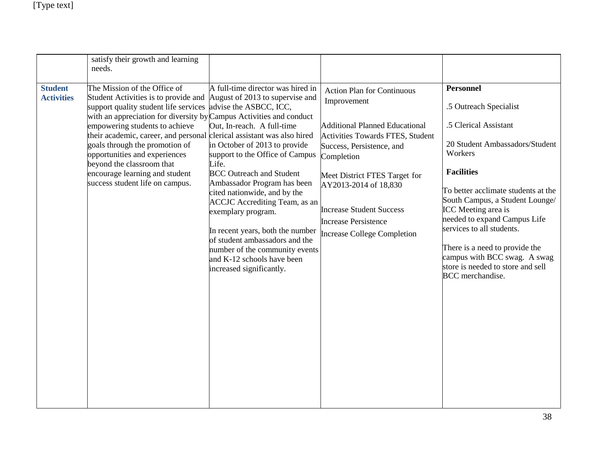|                                     | satisfy their growth and learning<br>needs.                                                                                                                                                                                                                                                                                                                                                                                         |                                                                                                                                                                                                                                                                                                                                                                                                                                                                                                                                                                                  |                                                                                                                                                                                                                                                                                                                                            |                                                                                                                                                                                                                                                                                                                                                                                                                                |
|-------------------------------------|-------------------------------------------------------------------------------------------------------------------------------------------------------------------------------------------------------------------------------------------------------------------------------------------------------------------------------------------------------------------------------------------------------------------------------------|----------------------------------------------------------------------------------------------------------------------------------------------------------------------------------------------------------------------------------------------------------------------------------------------------------------------------------------------------------------------------------------------------------------------------------------------------------------------------------------------------------------------------------------------------------------------------------|--------------------------------------------------------------------------------------------------------------------------------------------------------------------------------------------------------------------------------------------------------------------------------------------------------------------------------------------|--------------------------------------------------------------------------------------------------------------------------------------------------------------------------------------------------------------------------------------------------------------------------------------------------------------------------------------------------------------------------------------------------------------------------------|
| <b>Student</b><br><b>Activities</b> | The Mission of the Office of<br>Student Activities is to provide and<br>support quality student life services<br>with an appreciation for diversity by Campus Activities and conduct<br>empowering students to achieve<br>their academic, career, and personal<br>goals through the promotion of<br>opportunities and experiences<br>beyond the classroom that<br>encourage learning and student<br>success student life on campus. | A full-time director was hired in<br>August of 2013 to supervise and<br>advise the ASBCC, ICC,<br>Out, In-reach. A full-time<br>clerical assistant was also hired<br>in October of 2013 to provide<br>support to the Office of Campus<br>Life.<br><b>BCC</b> Outreach and Student<br>Ambassador Program has been<br>cited nationwide, and by the<br><b>ACCJC</b> Accrediting Team, as an<br>exemplary program.<br>In recent years, both the number<br>of student ambassadors and the<br>number of the community events<br>and K-12 schools have been<br>increased significantly. | <b>Action Plan for Continuous</b><br>Improvement<br><b>Additional Planned Educational</b><br>Activities Towards FTES, Student<br>Success, Persistence, and<br>Completion<br>Meet District FTES Target for<br>AY2013-2014 of 18,830<br><b>Increase Student Success</b><br><b>Increase Persistence</b><br><b>Increase College Completion</b> | <b>Personnel</b><br>.5 Outreach Specialist<br>.5 Clerical Assistant<br>20 Student Ambassadors/Student<br>Workers<br><b>Facilities</b><br>To better acclimate students at the<br>South Campus, a Student Lounge/<br>ICC Meeting area is<br>needed to expand Campus Life<br>services to all students.<br>There is a need to provide the<br>campus with BCC swag. A swag<br>store is needed to store and sell<br>BCC merchandise. |
|                                     |                                                                                                                                                                                                                                                                                                                                                                                                                                     |                                                                                                                                                                                                                                                                                                                                                                                                                                                                                                                                                                                  |                                                                                                                                                                                                                                                                                                                                            |                                                                                                                                                                                                                                                                                                                                                                                                                                |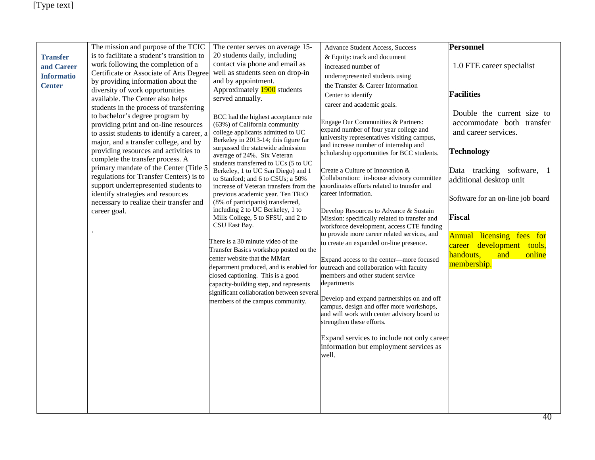|                   | The mission and purpose of the TCIC                                                 | The center serves on average 15-                                                | Advance Student Access, Success                                                           | <b>Personnel</b>                                           |
|-------------------|-------------------------------------------------------------------------------------|---------------------------------------------------------------------------------|-------------------------------------------------------------------------------------------|------------------------------------------------------------|
| <b>Transfer</b>   | is to facilitate a student's transition to                                          | 20 students daily, including                                                    | & Equity: track and document                                                              |                                                            |
| and Career        | work following the completion of a                                                  | contact via phone and email as<br>well as students seen on drop-in              | increased number of                                                                       | 1.0 FTE career specialist                                  |
| <b>Informatio</b> | Certificate or Associate of Arts Degree<br>by providing information about the       | and by appointment.                                                             | underrepresented students using                                                           |                                                            |
| <b>Center</b>     | diversity of work opportunities                                                     | Approximately 1900 students                                                     | the Transfer & Career Information                                                         |                                                            |
|                   | available. The Center also helps                                                    | served annually.                                                                | Center to identify                                                                        | <b>Facilities</b>                                          |
|                   | students in the process of transferring                                             |                                                                                 | career and academic goals.                                                                |                                                            |
|                   | to bachelor's degree program by                                                     | BCC had the highest acceptance rate                                             | Engage Our Communities & Partners:                                                        | Double the current size to<br>accommodate both transfer    |
|                   | providing print and on-line resources                                               | (63%) of California community<br>college applicants admitted to UC              | expand number of four year college and                                                    | and career services.                                       |
|                   | to assist students to identify a career, a<br>major, and a transfer college, and by | Berkeley in 2013-14; this figure far                                            | university representatives visiting campus,                                               |                                                            |
|                   | providing resources and activities to                                               | surpassed the statewide admission                                               | and increase number of internship and<br>scholarship opportunities for BCC students.      | <b>Technology</b>                                          |
|                   | complete the transfer process. A                                                    | average of 24%. Six Veteran                                                     |                                                                                           |                                                            |
|                   | primary mandate of the Center (Title 5                                              | students transferred to UCs (5 to UC<br>Berkeley, 1 to UC San Diego) and 1      | Create a Culture of Innovation &                                                          | Data tracking software, 1                                  |
|                   | regulations for Transfer Centers) is to                                             | to Stanford; and 6 to CSUs; a 50%                                               | Collaboration: in-house advisory committee                                                | additional desktop unit                                    |
|                   | support underrepresented students to                                                | increase of Veteran transfers from the                                          | coordinates efforts related to transfer and<br>career information.                        |                                                            |
|                   | identify strategies and resources<br>necessary to realize their transfer and        | previous academic year. Ten TRiO<br>(8% of participants) transferred,           |                                                                                           | Software for an on-line job board                          |
|                   | career goal.                                                                        | including 2 to UC Berkeley, 1 to                                                | Develop Resources to Advance & Sustain                                                    |                                                            |
|                   |                                                                                     | Mills College, 5 to SFSU, and 2 to                                              | Mission: specifically related to transfer and                                             | <b>Fiscal</b>                                              |
|                   |                                                                                     | CSU East Bay.                                                                   | workforce development, access CTE funding<br>to provide more career related services, and |                                                            |
|                   |                                                                                     | There is a 30 minute video of the                                               | to create an expanded on-line presence.                                                   | Annual licensing fees for                                  |
|                   |                                                                                     | Transfer Basics workshop posted on the                                          |                                                                                           | development tools,<br>career<br>handouts,<br>online<br>and |
|                   |                                                                                     | center website that the MMart                                                   | Expand access to the center-more focused                                                  | membership.                                                |
|                   |                                                                                     | department produced, and is enabled for outreach and collaboration with faculty |                                                                                           |                                                            |
|                   |                                                                                     | closed captioning. This is a good<br>capacity-building step, and represents     | members and other student service<br>departments                                          |                                                            |
|                   |                                                                                     | significant collaboration between several                                       |                                                                                           |                                                            |
|                   |                                                                                     | members of the campus community.                                                | Develop and expand partnerships on and off                                                |                                                            |
|                   |                                                                                     |                                                                                 | campus, design and offer more workshops,<br>and will work with center advisory board to   |                                                            |
|                   |                                                                                     |                                                                                 | strengthen these efforts.                                                                 |                                                            |
|                   |                                                                                     |                                                                                 |                                                                                           |                                                            |
|                   |                                                                                     |                                                                                 | Expand services to include not only career                                                |                                                            |
|                   |                                                                                     |                                                                                 | information but employment services as<br>well.                                           |                                                            |
|                   |                                                                                     |                                                                                 |                                                                                           |                                                            |
|                   |                                                                                     |                                                                                 |                                                                                           |                                                            |
|                   |                                                                                     |                                                                                 |                                                                                           |                                                            |
|                   |                                                                                     |                                                                                 |                                                                                           |                                                            |
|                   |                                                                                     |                                                                                 |                                                                                           |                                                            |
|                   |                                                                                     |                                                                                 |                                                                                           |                                                            |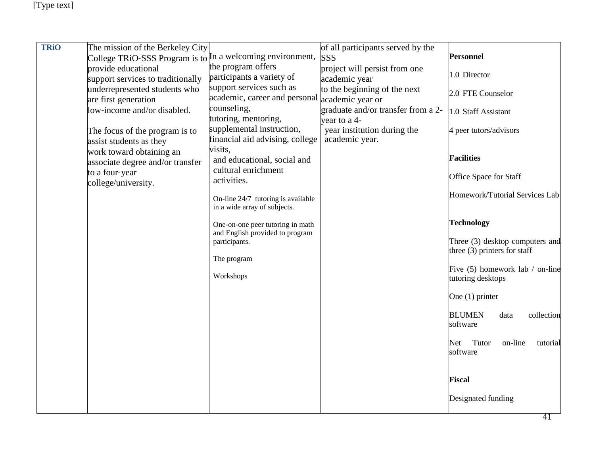| <b>TRiO</b> | The mission of the Berkeley City                             |                                                                     | of all participants served by the                  |                                                                   |
|-------------|--------------------------------------------------------------|---------------------------------------------------------------------|----------------------------------------------------|-------------------------------------------------------------------|
|             | College TRiO-SSS Program is to In a welcoming environment,   |                                                                     | <b>SSS</b>                                         | <b>Personnel</b>                                                  |
|             | provide educational                                          | the program offers                                                  | project will persist from one                      |                                                                   |
|             | support services to traditionally                            | participants a variety of                                           | academic year                                      | 1.0 Director                                                      |
|             | underrepresented students who<br>are first generation        | support services such as<br>academic, career and personal           | to the beginning of the next<br>academic year or   | 2.0 FTE Counselor                                                 |
|             | low-income and/or disabled.                                  | counseling,<br>tutoring, mentoring,                                 | graduate and/or transfer from a 2-<br>year to a 4- | 1.0 Staff Assistant                                               |
|             | The focus of the program is to<br>assist students as they    | supplemental instruction,<br>financial aid advising, college        | year institution during the<br>academic year.      | 4 peer tutors/advisors                                            |
|             | work toward obtaining an<br>associate degree and/or transfer | visits,<br>and educational, social and                              |                                                    | <b>Facilities</b>                                                 |
|             | to a four-year<br>college/university.                        | cultural enrichment<br>activities.                                  |                                                    | Office Space for Staff                                            |
|             |                                                              | On-line 24/7 tutoring is available<br>in a wide array of subjects.  |                                                    | Homework/Tutorial Services Lab                                    |
|             |                                                              | One-on-one peer tutoring in math<br>and English provided to program |                                                    | <b>Technology</b>                                                 |
|             |                                                              | participants.                                                       |                                                    | Three (3) desktop computers and<br>three $(3)$ printers for staff |
|             |                                                              | The program<br>Workshops                                            |                                                    | Five (5) homework lab / on-line                                   |
|             |                                                              |                                                                     |                                                    | tutoring desktops                                                 |
|             |                                                              |                                                                     |                                                    | One $(1)$ printer                                                 |
|             |                                                              |                                                                     |                                                    | <b>BLUMEN</b><br>collection<br>data<br>software                   |
|             |                                                              |                                                                     |                                                    | Tutor<br>on-line<br>Net<br>tutorial<br>software                   |
|             |                                                              |                                                                     |                                                    | <b>Fiscal</b>                                                     |
|             |                                                              |                                                                     |                                                    | Designated funding                                                |